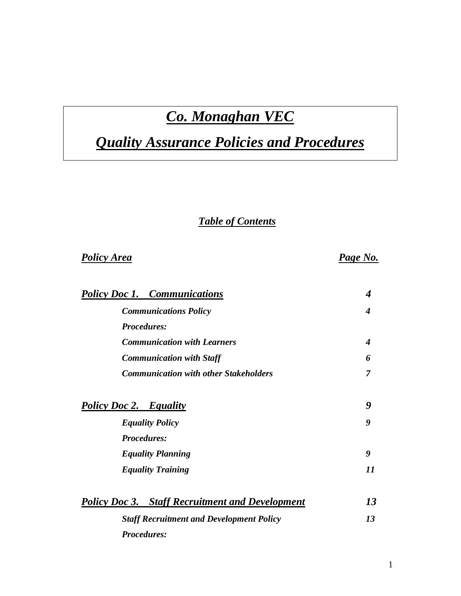## *Co. Monaghan VEC*

# *Quality Assurance Policies and Procedures*

## *Table of Contents*

## *Policy Area Page No.*

| <b>Policy Doc 1. Communications</b>                    | 4  |
|--------------------------------------------------------|----|
| <b>Communications Policy</b>                           | 4  |
| <b>Procedures:</b>                                     |    |
| <b>Communication with Learners</b>                     | 4  |
| <b>Communication with Staff</b>                        | 6  |
| <b>Communication with other Stakeholders</b>           | 7  |
| <b>Policy Doc 2. Equality</b>                          | 9  |
| <b>Equality Policy</b>                                 | 9  |
| <b>Procedures:</b>                                     |    |
| <b>Equality Planning</b>                               | 9  |
| <b>Equality Training</b>                               | 11 |
| <b>Policy Doc 3.</b> Staff Recruitment and Development | 13 |
| <b>Staff Recruitment and Development Policy</b>        | 13 |

*Procedures:*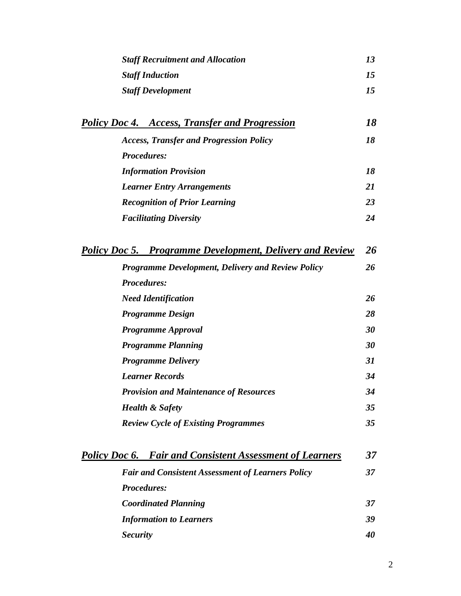| <b>Staff Recruitment and Allocation</b> | 13 |
|-----------------------------------------|----|
| <b>Staff Induction</b>                  | 75 |
| <b>Staff Development</b>                | 15 |

| <b>Policy Doc 4. Access, Transfer and Progression</b> | 18 |
|-------------------------------------------------------|----|
| <b>Access, Transfer and Progression Policy</b>        | 18 |
| <b>Procedures:</b>                                    |    |
| <b>Information Provision</b>                          | 18 |
| <b>Learner Entry Arrangements</b>                     | 21 |
| <b>Recognition of Prior Learning</b>                  | 23 |
| <b>Facilitating Diversity</b>                         | 24 |
|                                                       |    |

| <b>Policy Doc 5. Programme Development, Delivery and Review</b> | 26 |
|-----------------------------------------------------------------|----|
| <b>Programme Development, Delivery and Review Policy</b>        | 26 |
| <b>Procedures:</b>                                              |    |
| <b>Need Identification</b>                                      | 26 |
| <b>Programme Design</b>                                         | 28 |
| <b>Programme Approval</b>                                       | 30 |
| <b>Programme Planning</b>                                       | 30 |
| <b>Programme Delivery</b>                                       | 31 |
| <b>Learner Records</b>                                          | 34 |
| <b>Provision and Maintenance of Resources</b>                   | 34 |
| <b>Health &amp; Safety</b>                                      | 35 |
| <b>Review Cycle of Existing Programmes</b>                      | 35 |

|                    | <b>Policy Doc 6. Fair and Consistent Assessment of Learners</b> | 37 |
|--------------------|-----------------------------------------------------------------|----|
|                    | <b>Fair and Consistent Assessment of Learners Policy</b>        | 37 |
| <b>Procedures:</b> |                                                                 |    |
|                    | <b>Coordinated Planning</b>                                     | 37 |
|                    | <b>Information to Learners</b>                                  | 39 |
| <b>Security</b>    |                                                                 | 40 |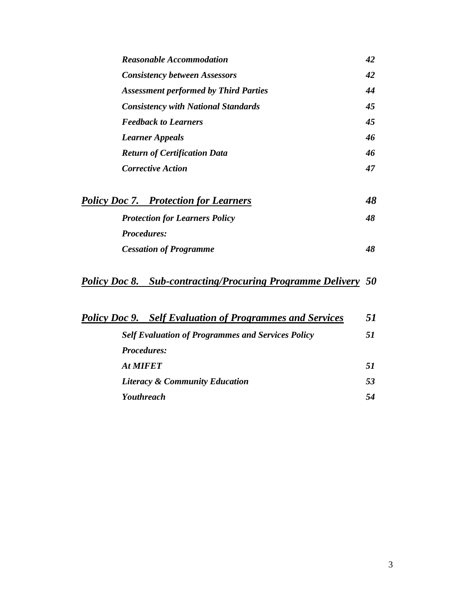| <b>Reasonable Accommodation</b>              | 42 |
|----------------------------------------------|----|
| <b>Consistency between Assessors</b>         | 42 |
| <b>Assessment performed by Third Parties</b> | 44 |
| <b>Consistency with National Standards</b>   | 45 |
| <b>Feedback to Learners</b>                  | 45 |
| <b>Learner Appeals</b>                       | 46 |
| <b>Return of Certification Data</b>          | 46 |
| <i>Corrective Action</i>                     | 47 |
|                                              |    |

| <b>Policy Doc 7. Protection for Learners</b> | 48 |
|----------------------------------------------|----|
| <b>Protection for Learners Policy</b>        | 48 |
| <b>Procedures:</b>                           |    |
| <b>Cessation of Programme</b>                | 48 |

## *Policy Doc 8. Sub-contracting/Procuring Programme Delivery 50*

| <b>Policy Doc 9.</b> Self Evaluation of Programmes and Services | 51 |
|-----------------------------------------------------------------|----|
| <b>Self Evaluation of Programmes and Services Policy</b>        | 51 |
| <b>Procedures:</b>                                              |    |
| At MIFET                                                        | 51 |
| <b>Literacy &amp; Community Education</b>                       | 53 |
| <b>Youthreach</b>                                               | 54 |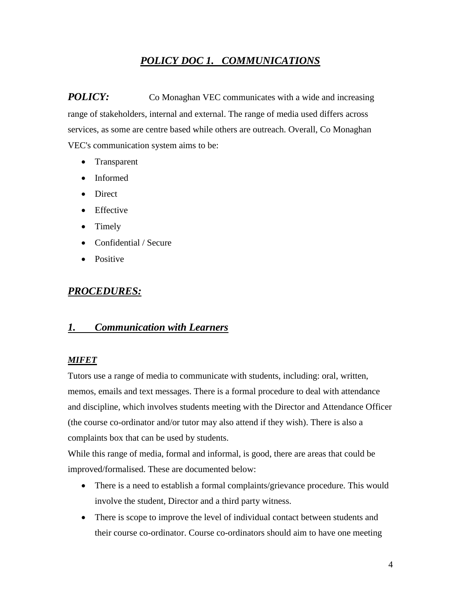## *POLICY DOC 1. COMMUNICATIONS*

*POLICY:* Co Monaghan VEC communicates with a wide and increasing range of stakeholders, internal and external. The range of media used differs across services, as some are centre based while others are outreach. Overall, Co Monaghan VEC's communication system aims to be:

- Transparent
- Informed
- Direct
- Effective
- Timely
- Confidential / Secure
- Positive

## *PROCEDURES:*

### *1. Communication with Learners*

#### *MIFET*

Tutors use a range of media to communicate with students, including: oral, written, memos, emails and text messages. There is a formal procedure to deal with attendance and discipline, which involves students meeting with the Director and Attendance Officer (the course co-ordinator and/or tutor may also attend if they wish). There is also a complaints box that can be used by students.

While this range of media, formal and informal, is good, there are areas that could be improved/formalised. These are documented below:

- There is a need to establish a formal complaints/grievance procedure. This would involve the student, Director and a third party witness.
- There is scope to improve the level of individual contact between students and their course co-ordinator. Course co-ordinators should aim to have one meeting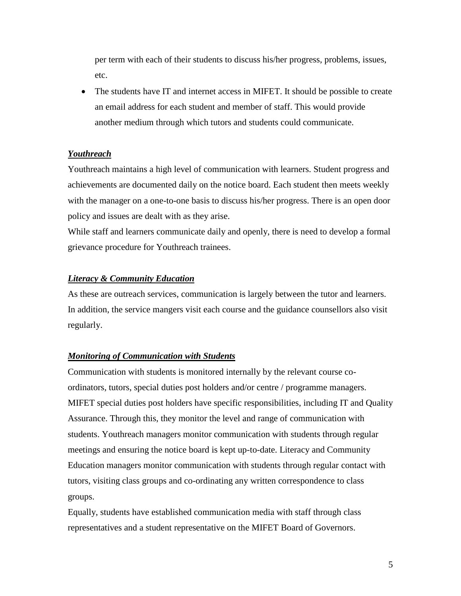per term with each of their students to discuss his/her progress, problems, issues, etc.

• The students have IT and internet access in MIFET. It should be possible to create an email address for each student and member of staff. This would provide another medium through which tutors and students could communicate.

#### *Youthreach*

Youthreach maintains a high level of communication with learners. Student progress and achievements are documented daily on the notice board. Each student then meets weekly with the manager on a one-to-one basis to discuss his/her progress. There is an open door policy and issues are dealt with as they arise.

While staff and learners communicate daily and openly, there is need to develop a formal grievance procedure for Youthreach trainees.

#### *Literacy & Community Education*

As these are outreach services, communication is largely between the tutor and learners. In addition, the service mangers visit each course and the guidance counsellors also visit regularly.

#### *Monitoring of Communication with Students*

Communication with students is monitored internally by the relevant course coordinators, tutors, special duties post holders and/or centre / programme managers. MIFET special duties post holders have specific responsibilities, including IT and Quality Assurance. Through this, they monitor the level and range of communication with students. Youthreach managers monitor communication with students through regular meetings and ensuring the notice board is kept up-to-date. Literacy and Community Education managers monitor communication with students through regular contact with tutors, visiting class groups and co-ordinating any written correspondence to class groups.

Equally, students have established communication media with staff through class representatives and a student representative on the MIFET Board of Governors.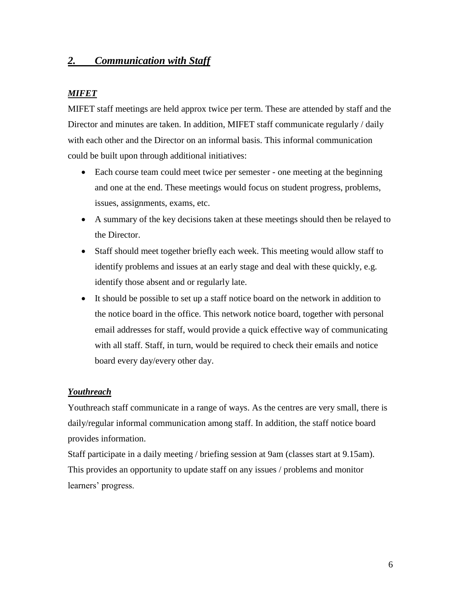## *2. Communication with Staff*

#### *MIFET*

MIFET staff meetings are held approx twice per term. These are attended by staff and the Director and minutes are taken. In addition, MIFET staff communicate regularly / daily with each other and the Director on an informal basis. This informal communication could be built upon through additional initiatives:

- Each course team could meet twice per semester one meeting at the beginning and one at the end. These meetings would focus on student progress, problems, issues, assignments, exams, etc.
- A summary of the key decisions taken at these meetings should then be relayed to the Director.
- Staff should meet together briefly each week. This meeting would allow staff to identify problems and issues at an early stage and deal with these quickly, e.g. identify those absent and or regularly late.
- It should be possible to set up a staff notice board on the network in addition to the notice board in the office. This network notice board, together with personal email addresses for staff, would provide a quick effective way of communicating with all staff. Staff, in turn, would be required to check their emails and notice board every day/every other day.

#### *Youthreach*

Youthreach staff communicate in a range of ways. As the centres are very small, there is daily/regular informal communication among staff. In addition, the staff notice board provides information.

Staff participate in a daily meeting / briefing session at 9am (classes start at 9.15am). This provides an opportunity to update staff on any issues / problems and monitor learners' progress.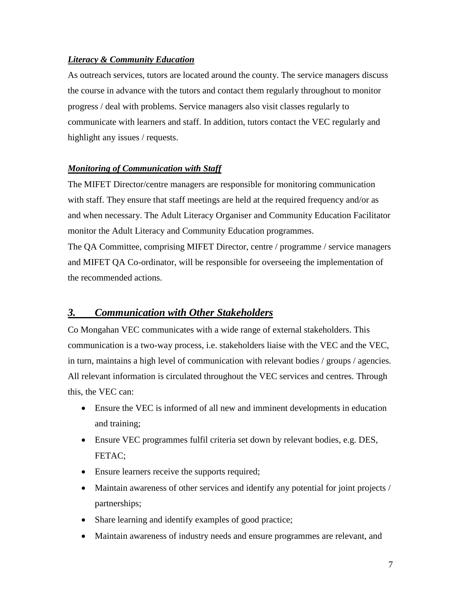#### *Literacy & Community Education*

As outreach services, tutors are located around the county. The service managers discuss the course in advance with the tutors and contact them regularly throughout to monitor progress / deal with problems. Service managers also visit classes regularly to communicate with learners and staff. In addition, tutors contact the VEC regularly and highlight any issues / requests.

#### *Monitoring of Communication with Staff*

The MIFET Director/centre managers are responsible for monitoring communication with staff. They ensure that staff meetings are held at the required frequency and/or as and when necessary. The Adult Literacy Organiser and Community Education Facilitator monitor the Adult Literacy and Community Education programmes.

The QA Committee, comprising MIFET Director, centre / programme / service managers and MIFET QA Co-ordinator, will be responsible for overseeing the implementation of the recommended actions.

## *3. Communication with Other Stakeholders*

Co Mongahan VEC communicates with a wide range of external stakeholders. This communication is a two-way process, i.e. stakeholders liaise with the VEC and the VEC, in turn, maintains a high level of communication with relevant bodies / groups / agencies. All relevant information is circulated throughout the VEC services and centres. Through this, the VEC can:

- Ensure the VEC is informed of all new and imminent developments in education and training;
- Ensure VEC programmes fulfil criteria set down by relevant bodies, e.g. DES, FETAC;
- Ensure learners receive the supports required;
- Maintain awareness of other services and identify any potential for joint projects / partnerships;
- Share learning and identify examples of good practice;
- Maintain awareness of industry needs and ensure programmes are relevant, and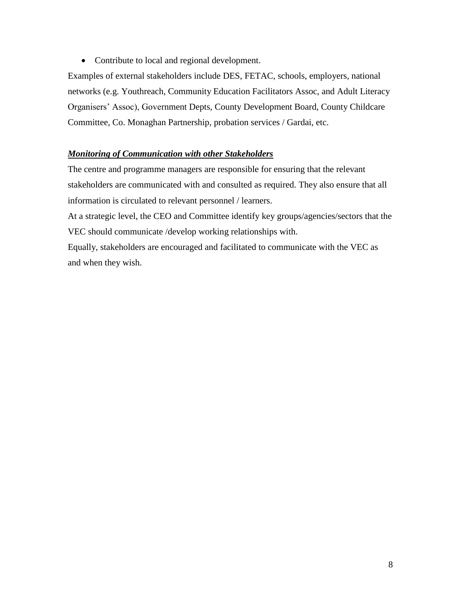• Contribute to local and regional development.

Examples of external stakeholders include DES, FETAC, schools, employers, national networks (e.g. Youthreach, Community Education Facilitators Assoc, and Adult Literacy Organisers' Assoc), Government Depts, County Development Board, County Childcare Committee, Co. Monaghan Partnership, probation services / Gardai, etc.

#### *Monitoring of Communication with other Stakeholders*

The centre and programme managers are responsible for ensuring that the relevant stakeholders are communicated with and consulted as required. They also ensure that all information is circulated to relevant personnel / learners.

At a strategic level, the CEO and Committee identify key groups/agencies/sectors that the VEC should communicate /develop working relationships with.

Equally, stakeholders are encouraged and facilitated to communicate with the VEC as and when they wish.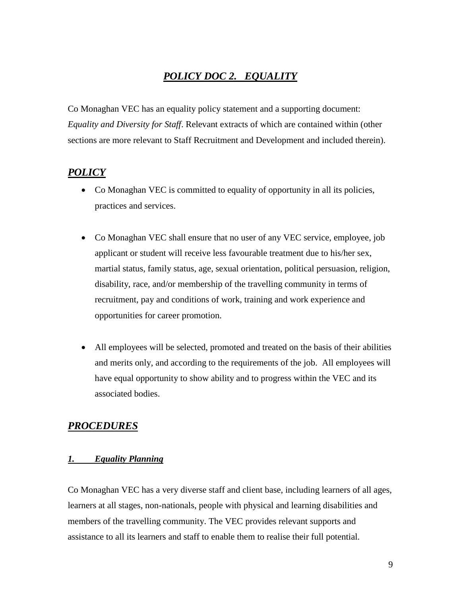## *POLICY DOC 2. EQUALITY*

Co Monaghan VEC has an equality policy statement and a supporting document: *Equality and Diversity for Staff*. Relevant extracts of which are contained within (other sections are more relevant to Staff Recruitment and Development and included therein).

## *POLICY*

- Co Monaghan VEC is committed to equality of opportunity in all its policies, practices and services.
- Co Monaghan VEC shall ensure that no user of any VEC service, employee, job applicant or student will receive less favourable treatment due to his/her sex, martial status, family status, age, sexual orientation, political persuasion, religion, disability, race, and/or membership of the travelling community in terms of recruitment, pay and conditions of work, training and work experience and opportunities for career promotion.
- All employees will be selected, promoted and treated on the basis of their abilities and merits only, and according to the requirements of the job. All employees will have equal opportunity to show ability and to progress within the VEC and its associated bodies.

## *PROCEDURES*

#### *1. Equality Planning*

Co Monaghan VEC has a very diverse staff and client base, including learners of all ages, learners at all stages, non-nationals, people with physical and learning disabilities and members of the travelling community. The VEC provides relevant supports and assistance to all its learners and staff to enable them to realise their full potential.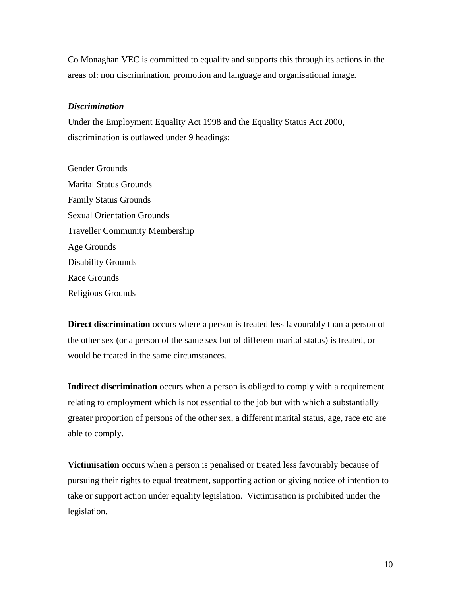Co Monaghan VEC is committed to equality and supports this through its actions in the areas of: non discrimination, promotion and language and organisational image.

#### *Discrimination*

Under the Employment Equality Act 1998 and the Equality Status Act 2000, discrimination is outlawed under 9 headings:

Gender Grounds Marital Status Grounds Family Status Grounds Sexual Orientation Grounds Traveller Community Membership Age Grounds Disability Grounds Race Grounds Religious Grounds

**Direct discrimination** occurs where a person is treated less favourably than a person of the other sex (or a person of the same sex but of different marital status) is treated, or would be treated in the same circumstances.

**Indirect discrimination** occurs when a person is obliged to comply with a requirement relating to employment which is not essential to the job but with which a substantially greater proportion of persons of the other sex, a different marital status, age, race etc are able to comply.

**Victimisation** occurs when a person is penalised or treated less favourably because of pursuing their rights to equal treatment, supporting action or giving notice of intention to take or support action under equality legislation. Victimisation is prohibited under the legislation.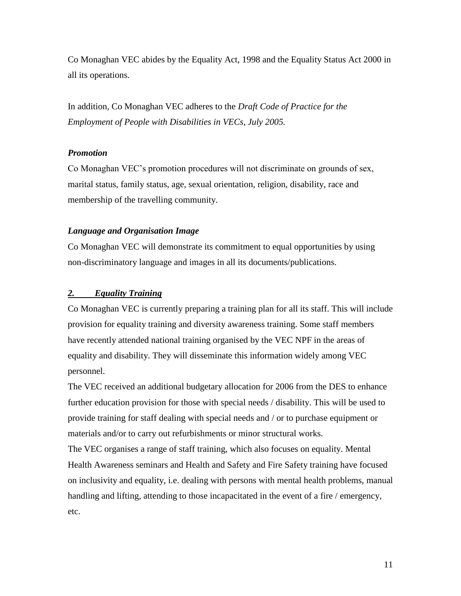Co Monaghan VEC abides by the Equality Act, 1998 and the Equality Status Act 2000 in all its operations.

In addition, Co Monaghan VEC adheres to the *Draft Code of Practice for the Employment of People with Disabilities in VECs, July 2005.*

#### *Promotion*

Co Monaghan VEC's promotion procedures will not discriminate on grounds of sex, marital status, family status, age, sexual orientation, religion, disability, race and membership of the travelling community.

#### *Language and Organisation Image*

Co Monaghan VEC will demonstrate its commitment to equal opportunities by using non-discriminatory language and images in all its documents/publications.

#### *2. Equality Training*

Co Monaghan VEC is currently preparing a training plan for all its staff. This will include provision for equality training and diversity awareness training. Some staff members have recently attended national training organised by the VEC NPF in the areas of equality and disability. They will disseminate this information widely among VEC personnel.

The VEC received an additional budgetary allocation for 2006 from the DES to enhance further education provision for those with special needs / disability. This will be used to provide training for staff dealing with special needs and / or to purchase equipment or materials and/or to carry out refurbishments or minor structural works.

The VEC organises a range of staff training, which also focuses on equality. Mental Health Awareness seminars and Health and Safety and Fire Safety training have focused on inclusivity and equality, i.e. dealing with persons with mental health problems, manual handling and lifting, attending to those incapacitated in the event of a fire / emergency, etc.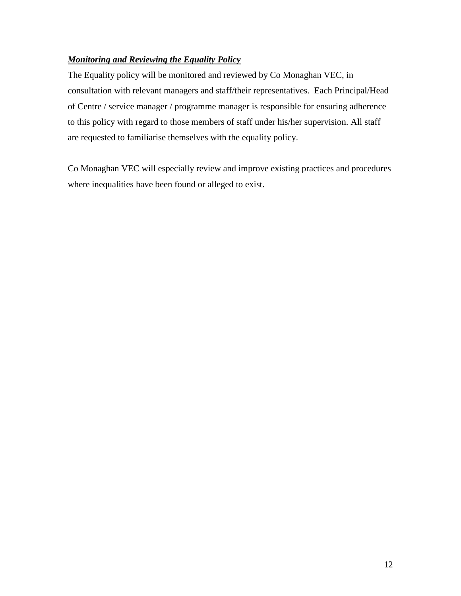## *Monitoring and Reviewing the Equality Policy*

The Equality policy will be monitored and reviewed by Co Monaghan VEC, in consultation with relevant managers and staff/their representatives. Each Principal/Head of Centre / service manager / programme manager is responsible for ensuring adherence to this policy with regard to those members of staff under his/her supervision. All staff are requested to familiarise themselves with the equality policy.

Co Monaghan VEC will especially review and improve existing practices and procedures where inequalities have been found or alleged to exist.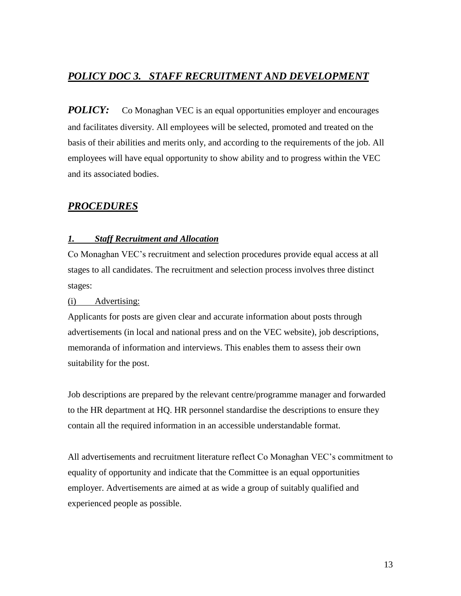## *POLICY DOC 3. STAFF RECRUITMENT AND DEVELOPMENT*

*POLICY:* Co Monaghan VEC is an equal opportunities employer and encourages and facilitates diversity. All employees will be selected, promoted and treated on the basis of their abilities and merits only, and according to the requirements of the job. All employees will have equal opportunity to show ability and to progress within the VEC and its associated bodies.

## *PROCEDURES*

#### *1. Staff Recruitment and Allocation*

Co Monaghan VEC's recruitment and selection procedures provide equal access at all stages to all candidates. The recruitment and selection process involves three distinct stages:

#### (i) Advertising:

Applicants for posts are given clear and accurate information about posts through advertisements (in local and national press and on the VEC website), job descriptions, memoranda of information and interviews. This enables them to assess their own suitability for the post.

Job descriptions are prepared by the relevant centre/programme manager and forwarded to the HR department at HQ. HR personnel standardise the descriptions to ensure they contain all the required information in an accessible understandable format.

All advertisements and recruitment literature reflect Co Monaghan VEC's commitment to equality of opportunity and indicate that the Committee is an equal opportunities employer. Advertisements are aimed at as wide a group of suitably qualified and experienced people as possible.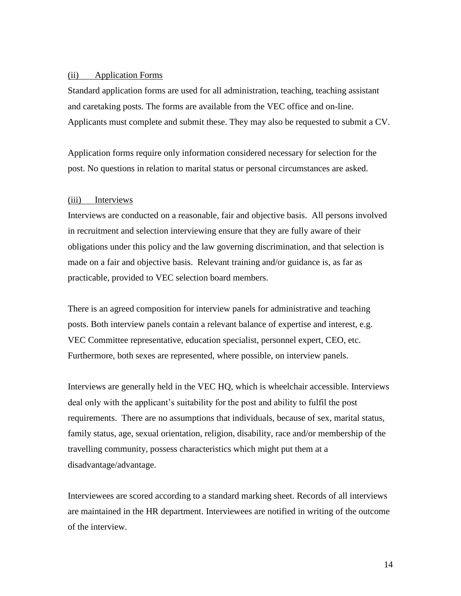#### (ii) Application Forms

Standard application forms are used for all administration, teaching, teaching assistant and caretaking posts. The forms are available from the VEC office and on-line. Applicants must complete and submit these. They may also be requested to submit a CV.

Application forms require only information considered necessary for selection for the post. No questions in relation to marital status or personal circumstances are asked.

#### (iii) Interviews

Interviews are conducted on a reasonable, fair and objective basis. All persons involved in recruitment and selection interviewing ensure that they are fully aware of their obligations under this policy and the law governing discrimination, and that selection is made on a fair and objective basis. Relevant training and/or guidance is, as far as practicable, provided to VEC selection board members.

There is an agreed composition for interview panels for administrative and teaching posts. Both interview panels contain a relevant balance of expertise and interest, e.g. VEC Committee representative, education specialist, personnel expert, CEO, etc. Furthermore, both sexes are represented, where possible, on interview panels.

Interviews are generally held in the VEC HQ, which is wheelchair accessible. Interviews deal only with the applicant's suitability for the post and ability to fulfil the post requirements. There are no assumptions that individuals, because of sex, marital status, family status, age, sexual orientation, religion, disability, race and/or membership of the travelling community, possess characteristics which might put them at a disadvantage/advantage.

Interviewees are scored according to a standard marking sheet. Records of all interviews are maintained in the HR department. Interviewees are notified in writing of the outcome of the interview.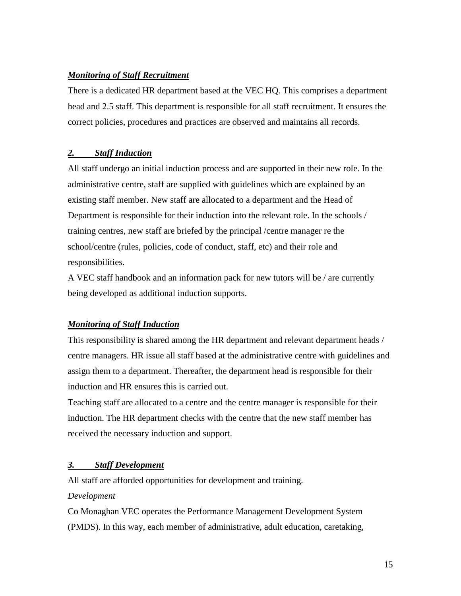#### *Monitoring of Staff Recruitment*

There is a dedicated HR department based at the VEC HQ. This comprises a department head and 2.5 staff. This department is responsible for all staff recruitment. It ensures the correct policies, procedures and practices are observed and maintains all records.

#### *2. Staff Induction*

All staff undergo an initial induction process and are supported in their new role. In the administrative centre, staff are supplied with guidelines which are explained by an existing staff member. New staff are allocated to a department and the Head of Department is responsible for their induction into the relevant role. In the schools / training centres, new staff are briefed by the principal /centre manager re the school/centre (rules, policies, code of conduct, staff, etc) and their role and responsibilities.

A VEC staff handbook and an information pack for new tutors will be / are currently being developed as additional induction supports.

#### *Monitoring of Staff Induction*

This responsibility is shared among the HR department and relevant department heads / centre managers. HR issue all staff based at the administrative centre with guidelines and assign them to a department. Thereafter, the department head is responsible for their induction and HR ensures this is carried out.

Teaching staff are allocated to a centre and the centre manager is responsible for their induction. The HR department checks with the centre that the new staff member has received the necessary induction and support.

#### *3. Staff Development*

All staff are afforded opportunities for development and training.

#### *Development*

Co Monaghan VEC operates the Performance Management Development System (PMDS). In this way, each member of administrative, adult education, caretaking,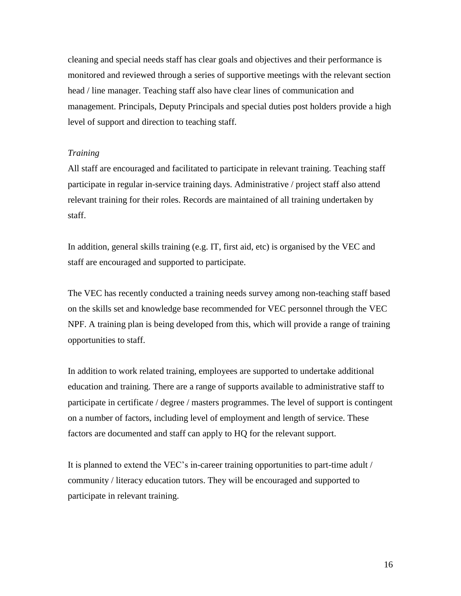cleaning and special needs staff has clear goals and objectives and their performance is monitored and reviewed through a series of supportive meetings with the relevant section head / line manager. Teaching staff also have clear lines of communication and management. Principals, Deputy Principals and special duties post holders provide a high level of support and direction to teaching staff.

#### *Training*

All staff are encouraged and facilitated to participate in relevant training. Teaching staff participate in regular in-service training days. Administrative / project staff also attend relevant training for their roles. Records are maintained of all training undertaken by staff.

In addition, general skills training (e.g. IT, first aid, etc) is organised by the VEC and staff are encouraged and supported to participate.

The VEC has recently conducted a training needs survey among non-teaching staff based on the skills set and knowledge base recommended for VEC personnel through the VEC NPF. A training plan is being developed from this, which will provide a range of training opportunities to staff.

In addition to work related training, employees are supported to undertake additional education and training. There are a range of supports available to administrative staff to participate in certificate / degree / masters programmes. The level of support is contingent on a number of factors, including level of employment and length of service. These factors are documented and staff can apply to HQ for the relevant support.

It is planned to extend the VEC's in-career training opportunities to part-time adult / community / literacy education tutors. They will be encouraged and supported to participate in relevant training.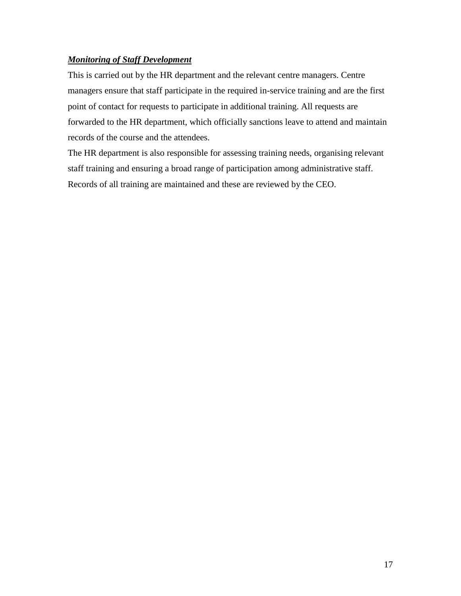#### *Monitoring of Staff Development*

This is carried out by the HR department and the relevant centre managers. Centre managers ensure that staff participate in the required in-service training and are the first point of contact for requests to participate in additional training. All requests are forwarded to the HR department, which officially sanctions leave to attend and maintain records of the course and the attendees.

The HR department is also responsible for assessing training needs, organising relevant staff training and ensuring a broad range of participation among administrative staff. Records of all training are maintained and these are reviewed by the CEO.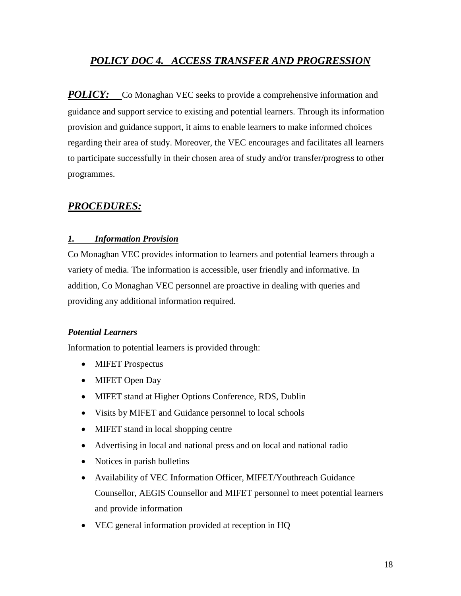## *POLICY DOC 4. ACCESS TRANSFER AND PROGRESSION*

*POLICY:* Co Monaghan VEC seeks to provide a comprehensive information and guidance and support service to existing and potential learners. Through its information provision and guidance support, it aims to enable learners to make informed choices regarding their area of study. Moreover, the VEC encourages and facilitates all learners to participate successfully in their chosen area of study and/or transfer/progress to other programmes.

## *PROCEDURES:*

## *1. Information Provision*

Co Monaghan VEC provides information to learners and potential learners through a variety of media. The information is accessible, user friendly and informative. In addition, Co Monaghan VEC personnel are proactive in dealing with queries and providing any additional information required.

#### *Potential Learners*

Information to potential learners is provided through:

- MIFET Prospectus
- MIFET Open Day
- MIFET stand at Higher Options Conference, RDS, Dublin
- Visits by MIFET and Guidance personnel to local schools
- MIFET stand in local shopping centre
- Advertising in local and national press and on local and national radio
- Notices in parish bulletins
- Availability of VEC Information Officer, MIFET/Youthreach Guidance Counsellor, AEGIS Counsellor and MIFET personnel to meet potential learners and provide information
- VEC general information provided at reception in HQ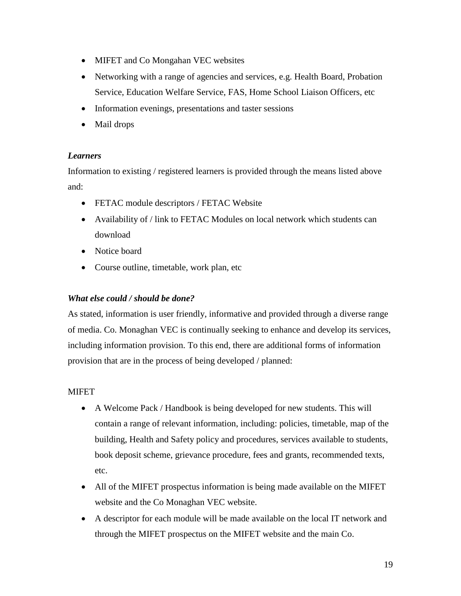- MIFET and Co Mongahan VEC websites
- Networking with a range of agencies and services, e.g. Health Board, Probation Service, Education Welfare Service, FAS, Home School Liaison Officers, etc
- Information evenings, presentations and taster sessions
- Mail drops

## *Learners*

Information to existing / registered learners is provided through the means listed above and:

- FETAC module descriptors / FETAC Website
- Availability of / link to FETAC Modules on local network which students can download
- Notice board
- Course outline, timetable, work plan, etc

### *What else could / should be done?*

As stated, information is user friendly, informative and provided through a diverse range of media. Co. Monaghan VEC is continually seeking to enhance and develop its services, including information provision. To this end, there are additional forms of information provision that are in the process of being developed / planned:

#### **MIFET**

- A Welcome Pack / Handbook is being developed for new students. This will contain a range of relevant information, including: policies, timetable, map of the building, Health and Safety policy and procedures, services available to students, book deposit scheme, grievance procedure, fees and grants, recommended texts, etc.
- All of the MIFET prospectus information is being made available on the MIFET website and the Co Monaghan VEC website.
- A descriptor for each module will be made available on the local IT network and through the MIFET prospectus on the MIFET website and the main Co.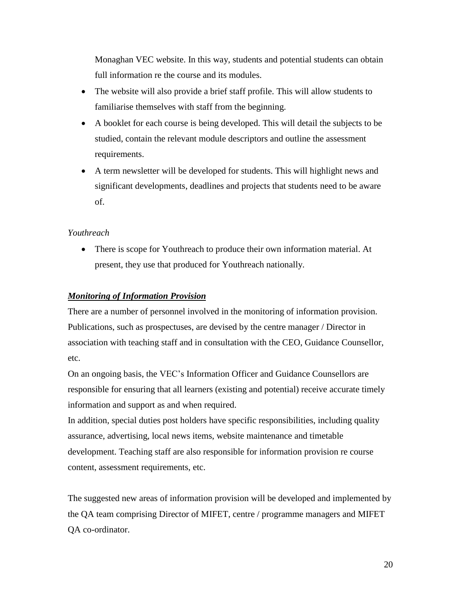Monaghan VEC website. In this way, students and potential students can obtain full information re the course and its modules.

- The website will also provide a brief staff profile. This will allow students to familiarise themselves with staff from the beginning.
- A booklet for each course is being developed. This will detail the subjects to be studied, contain the relevant module descriptors and outline the assessment requirements.
- A term newsletter will be developed for students. This will highlight news and significant developments, deadlines and projects that students need to be aware of.

#### *Youthreach*

• There is scope for Youthreach to produce their own information material. At present, they use that produced for Youthreach nationally.

#### *Monitoring of Information Provision*

There are a number of personnel involved in the monitoring of information provision. Publications, such as prospectuses, are devised by the centre manager / Director in association with teaching staff and in consultation with the CEO, Guidance Counsellor, etc.

On an ongoing basis, the VEC's Information Officer and Guidance Counsellors are responsible for ensuring that all learners (existing and potential) receive accurate timely information and support as and when required.

In addition, special duties post holders have specific responsibilities, including quality assurance, advertising, local news items, website maintenance and timetable development. Teaching staff are also responsible for information provision re course content, assessment requirements, etc.

The suggested new areas of information provision will be developed and implemented by the QA team comprising Director of MIFET, centre / programme managers and MIFET QA co-ordinator.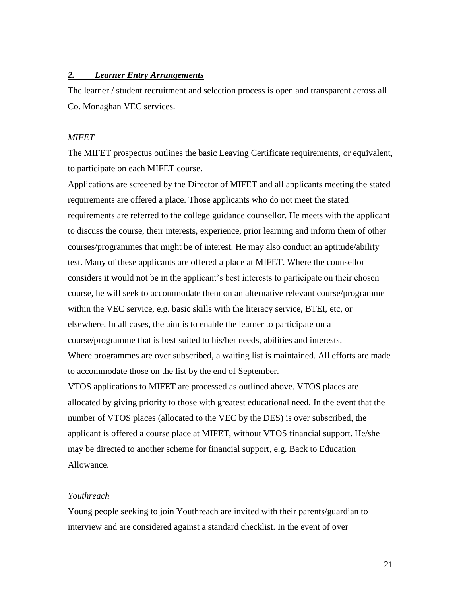#### *2. Learner Entry Arrangements*

The learner / student recruitment and selection process is open and transparent across all Co. Monaghan VEC services.

#### *MIFET*

The MIFET prospectus outlines the basic Leaving Certificate requirements, or equivalent, to participate on each MIFET course.

Applications are screened by the Director of MIFET and all applicants meeting the stated requirements are offered a place. Those applicants who do not meet the stated requirements are referred to the college guidance counsellor. He meets with the applicant to discuss the course, their interests, experience, prior learning and inform them of other courses/programmes that might be of interest. He may also conduct an aptitude/ability test. Many of these applicants are offered a place at MIFET. Where the counsellor considers it would not be in the applicant's best interests to participate on their chosen course, he will seek to accommodate them on an alternative relevant course/programme within the VEC service, e.g. basic skills with the literacy service, BTEI, etc, or elsewhere. In all cases, the aim is to enable the learner to participate on a course/programme that is best suited to his/her needs, abilities and interests. Where programmes are over subscribed, a waiting list is maintained. All efforts are made to accommodate those on the list by the end of September.

VTOS applications to MIFET are processed as outlined above. VTOS places are allocated by giving priority to those with greatest educational need. In the event that the number of VTOS places (allocated to the VEC by the DES) is over subscribed, the applicant is offered a course place at MIFET, without VTOS financial support. He/she may be directed to another scheme for financial support, e.g. Back to Education Allowance.

#### *Youthreach*

Young people seeking to join Youthreach are invited with their parents/guardian to interview and are considered against a standard checklist. In the event of over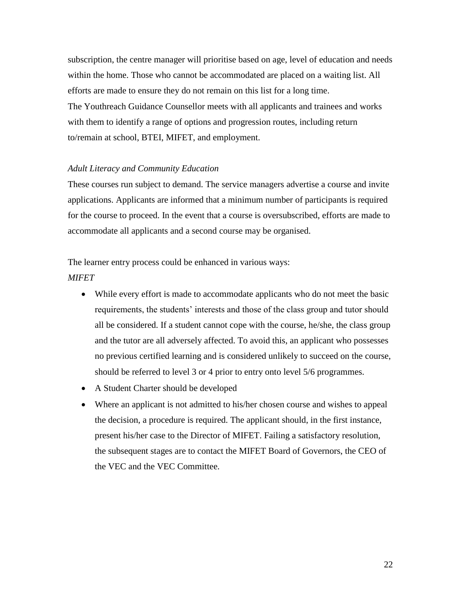subscription, the centre manager will prioritise based on age, level of education and needs within the home. Those who cannot be accommodated are placed on a waiting list. All efforts are made to ensure they do not remain on this list for a long time. The Youthreach Guidance Counsellor meets with all applicants and trainees and works with them to identify a range of options and progression routes, including return to/remain at school, BTEI, MIFET, and employment.

#### *Adult Literacy and Community Education*

These courses run subject to demand. The service managers advertise a course and invite applications. Applicants are informed that a minimum number of participants is required for the course to proceed. In the event that a course is oversubscribed, efforts are made to accommodate all applicants and a second course may be organised.

## The learner entry process could be enhanced in various ways: *MIFET*

- While every effort is made to accommodate applicants who do not meet the basic requirements, the students' interests and those of the class group and tutor should all be considered. If a student cannot cope with the course, he/she, the class group and the tutor are all adversely affected. To avoid this, an applicant who possesses no previous certified learning and is considered unlikely to succeed on the course, should be referred to level 3 or 4 prior to entry onto level 5/6 programmes.
- A Student Charter should be developed
- Where an applicant is not admitted to his/her chosen course and wishes to appeal the decision, a procedure is required. The applicant should, in the first instance, present his/her case to the Director of MIFET. Failing a satisfactory resolution, the subsequent stages are to contact the MIFET Board of Governors, the CEO of the VEC and the VEC Committee.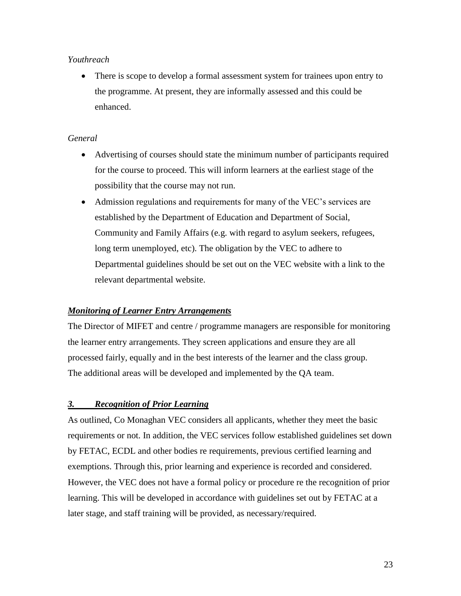#### *Youthreach*

• There is scope to develop a formal assessment system for trainees upon entry to the programme. At present, they are informally assessed and this could be enhanced.

## *General*

- Advertising of courses should state the minimum number of participants required for the course to proceed. This will inform learners at the earliest stage of the possibility that the course may not run.
- Admission regulations and requirements for many of the VEC's services are established by the Department of Education and Department of Social, Community and Family Affairs (e.g. with regard to asylum seekers, refugees, long term unemployed, etc). The obligation by the VEC to adhere to Departmental guidelines should be set out on the VEC website with a link to the relevant departmental website.

## *Monitoring of Learner Entry Arrangements*

The Director of MIFET and centre / programme managers are responsible for monitoring the learner entry arrangements. They screen applications and ensure they are all processed fairly, equally and in the best interests of the learner and the class group. The additional areas will be developed and implemented by the QA team.

## *3. Recognition of Prior Learning*

As outlined, Co Monaghan VEC considers all applicants, whether they meet the basic requirements or not. In addition, the VEC services follow established guidelines set down by FETAC, ECDL and other bodies re requirements, previous certified learning and exemptions. Through this, prior learning and experience is recorded and considered. However, the VEC does not have a formal policy or procedure re the recognition of prior learning. This will be developed in accordance with guidelines set out by FETAC at a later stage, and staff training will be provided, as necessary/required.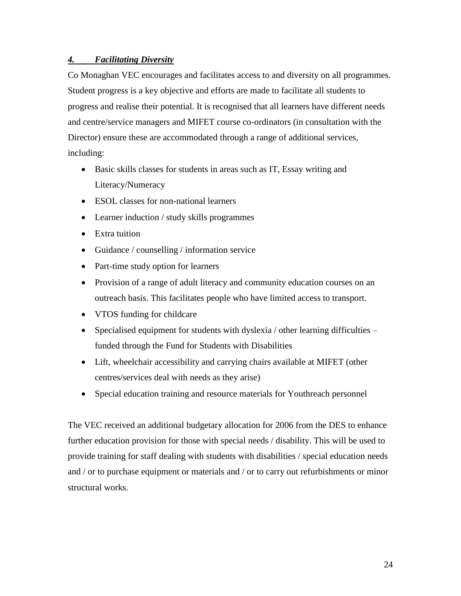#### *4. Facilitating Diversity*

Co Monaghan VEC encourages and facilitates access to and diversity on all programmes. Student progress is a key objective and efforts are made to facilitate all students to progress and realise their potential. It is recognised that all learners have different needs and centre/service managers and MIFET course co-ordinators (in consultation with the Director) ensure these are accommodated through a range of additional services, including:

- Basic skills classes for students in areas such as IT, Essay writing and Literacy/Numeracy
- ESOL classes for non-national learners
- Learner induction / study skills programmes
- Extra tuition
- Guidance / counselling / information service
- Part-time study option for learners
- Provision of a range of adult literacy and community education courses on an outreach basis. This facilitates people who have limited access to transport.
- VTOS funding for childcare
- Specialised equipment for students with dyslexia / other learning difficulties funded through the Fund for Students with Disabilities
- Lift, wheelchair accessibility and carrying chairs available at MIFET (other centres/services deal with needs as they arise)
- Special education training and resource materials for Youthreach personnel

The VEC received an additional budgetary allocation for 2006 from the DES to enhance further education provision for those with special needs / disability. This will be used to provide training for staff dealing with students with disabilities / special education needs and / or to purchase equipment or materials and / or to carry out refurbishments or minor structural works.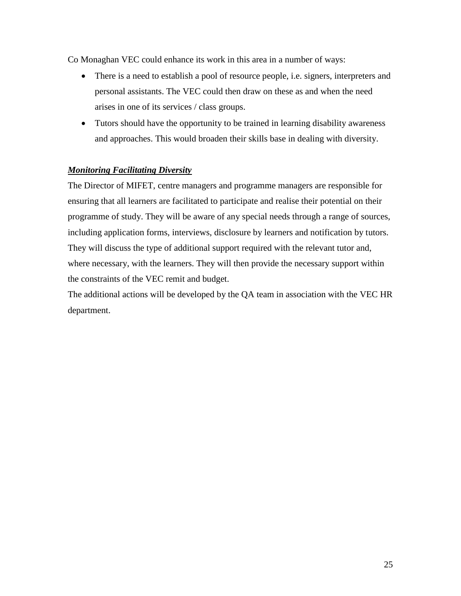Co Monaghan VEC could enhance its work in this area in a number of ways:

- There is a need to establish a pool of resource people, i.e. signers, interpreters and personal assistants. The VEC could then draw on these as and when the need arises in one of its services / class groups.
- Tutors should have the opportunity to be trained in learning disability awareness and approaches. This would broaden their skills base in dealing with diversity.

## *Monitoring Facilitating Diversity*

The Director of MIFET, centre managers and programme managers are responsible for ensuring that all learners are facilitated to participate and realise their potential on their programme of study. They will be aware of any special needs through a range of sources, including application forms, interviews, disclosure by learners and notification by tutors. They will discuss the type of additional support required with the relevant tutor and, where necessary, with the learners. They will then provide the necessary support within the constraints of the VEC remit and budget.

The additional actions will be developed by the QA team in association with the VEC HR department.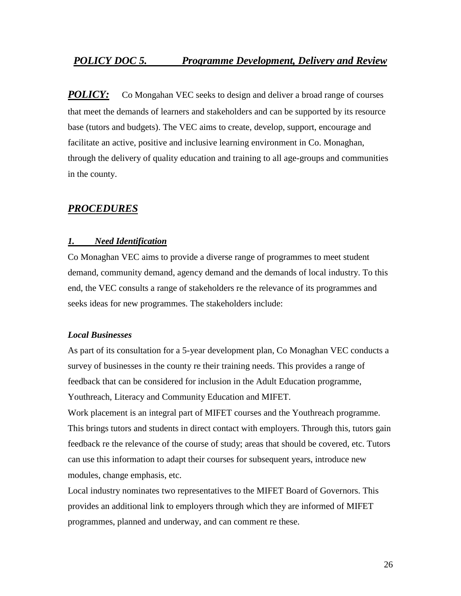## *POLICY DOC 5. Programme Development, Delivery and Review*

*POLICY:* Co Mongahan VEC seeks to design and deliver a broad range of courses that meet the demands of learners and stakeholders and can be supported by its resource base (tutors and budgets). The VEC aims to create, develop, support, encourage and facilitate an active, positive and inclusive learning environment in Co. Monaghan, through the delivery of quality education and training to all age-groups and communities in the county.

## *PROCEDURES*

#### *1. Need Identification*

Co Monaghan VEC aims to provide a diverse range of programmes to meet student demand, community demand, agency demand and the demands of local industry. To this end, the VEC consults a range of stakeholders re the relevance of its programmes and seeks ideas for new programmes. The stakeholders include:

#### *Local Businesses*

As part of its consultation for a 5-year development plan, Co Monaghan VEC conducts a survey of businesses in the county re their training needs. This provides a range of feedback that can be considered for inclusion in the Adult Education programme, Youthreach, Literacy and Community Education and MIFET.

Work placement is an integral part of MIFET courses and the Youthreach programme. This brings tutors and students in direct contact with employers. Through this, tutors gain feedback re the relevance of the course of study; areas that should be covered, etc. Tutors can use this information to adapt their courses for subsequent years, introduce new modules, change emphasis, etc.

Local industry nominates two representatives to the MIFET Board of Governors. This provides an additional link to employers through which they are informed of MIFET programmes, planned and underway, and can comment re these.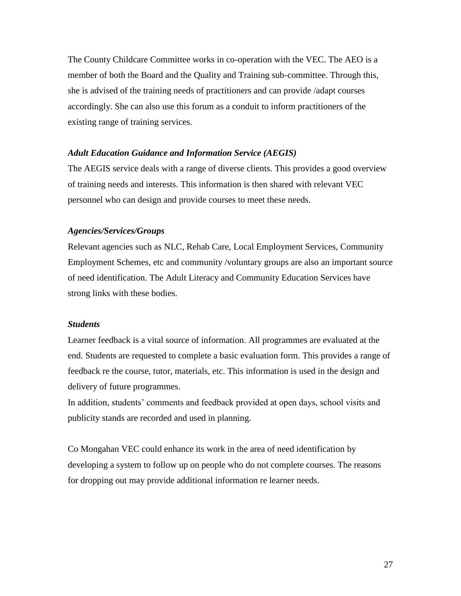The County Childcare Committee works in co-operation with the VEC. The AEO is a member of both the Board and the Quality and Training sub-committee. Through this, she is advised of the training needs of practitioners and can provide /adapt courses accordingly. She can also use this forum as a conduit to inform practitioners of the existing range of training services.

#### *Adult Education Guidance and Information Service (AEGIS)*

The AEGIS service deals with a range of diverse clients. This provides a good overview of training needs and interests. This information is then shared with relevant VEC personnel who can design and provide courses to meet these needs.

#### *Agencies/Services/Groups*

Relevant agencies such as NLC, Rehab Care, Local Employment Services, Community Employment Schemes, etc and community /voluntary groups are also an important source of need identification. The Adult Literacy and Community Education Services have strong links with these bodies.

#### *Students*

Learner feedback is a vital source of information. All programmes are evaluated at the end. Students are requested to complete a basic evaluation form. This provides a range of feedback re the course, tutor, materials, etc. This information is used in the design and delivery of future programmes.

In addition, students' comments and feedback provided at open days, school visits and publicity stands are recorded and used in planning.

Co Mongahan VEC could enhance its work in the area of need identification by developing a system to follow up on people who do not complete courses. The reasons for dropping out may provide additional information re learner needs.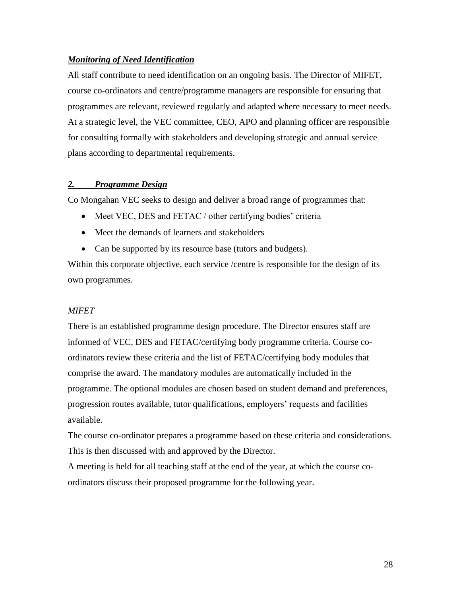#### *Monitoring of Need Identification*

All staff contribute to need identification on an ongoing basis. The Director of MIFET, course co-ordinators and centre/programme managers are responsible for ensuring that programmes are relevant, reviewed regularly and adapted where necessary to meet needs. At a strategic level, the VEC committee, CEO, APO and planning officer are responsible for consulting formally with stakeholders and developing strategic and annual service plans according to departmental requirements.

#### *2. Programme Design*

Co Mongahan VEC seeks to design and deliver a broad range of programmes that:

- Meet VEC, DES and FETAC / other certifying bodies' criteria
- Meet the demands of learners and stakeholders
- Can be supported by its resource base (tutors and budgets).

Within this corporate objective, each service /centre is responsible for the design of its own programmes.

#### *MIFET*

There is an established programme design procedure. The Director ensures staff are informed of VEC, DES and FETAC/certifying body programme criteria. Course coordinators review these criteria and the list of FETAC/certifying body modules that comprise the award. The mandatory modules are automatically included in the programme. The optional modules are chosen based on student demand and preferences, progression routes available, tutor qualifications, employers' requests and facilities available.

The course co-ordinator prepares a programme based on these criteria and considerations. This is then discussed with and approved by the Director.

A meeting is held for all teaching staff at the end of the year, at which the course coordinators discuss their proposed programme for the following year.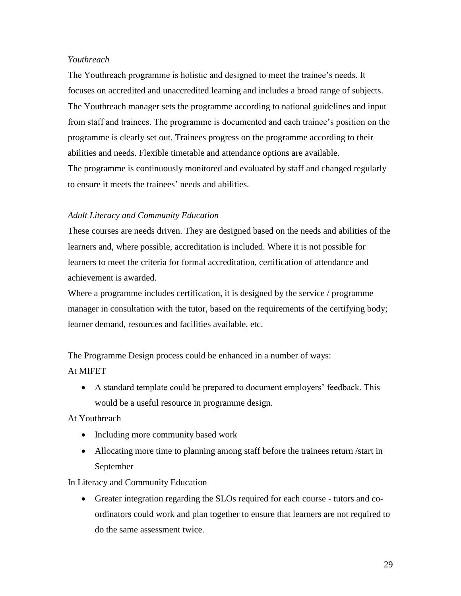#### *Youthreach*

The Youthreach programme is holistic and designed to meet the trainee's needs. It focuses on accredited and unaccredited learning and includes a broad range of subjects. The Youthreach manager sets the programme according to national guidelines and input from staff and trainees. The programme is documented and each trainee's position on the programme is clearly set out. Trainees progress on the programme according to their abilities and needs. Flexible timetable and attendance options are available. The programme is continuously monitored and evaluated by staff and changed regularly to ensure it meets the trainees' needs and abilities.

#### *Adult Literacy and Community Education*

These courses are needs driven. They are designed based on the needs and abilities of the learners and, where possible, accreditation is included. Where it is not possible for learners to meet the criteria for formal accreditation, certification of attendance and achievement is awarded.

Where a programme includes certification, it is designed by the service / programme manager in consultation with the tutor, based on the requirements of the certifying body; learner demand, resources and facilities available, etc.

The Programme Design process could be enhanced in a number of ways:

#### At MIFET

• A standard template could be prepared to document employers' feedback. This would be a useful resource in programme design.

At Youthreach

- Including more community based work
- Allocating more time to planning among staff before the trainees return /start in September

#### In Literacy and Community Education

• Greater integration regarding the SLOs required for each course - tutors and coordinators could work and plan together to ensure that learners are not required to do the same assessment twice.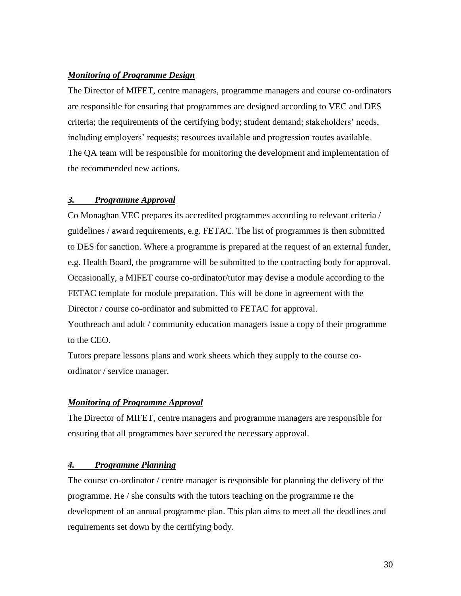#### *Monitoring of Programme Design*

The Director of MIFET, centre managers, programme managers and course co-ordinators are responsible for ensuring that programmes are designed according to VEC and DES criteria; the requirements of the certifying body; student demand; stakeholders' needs, including employers' requests; resources available and progression routes available. The QA team will be responsible for monitoring the development and implementation of the recommended new actions.

#### *3. Programme Approval*

Co Monaghan VEC prepares its accredited programmes according to relevant criteria / guidelines / award requirements, e.g. FETAC. The list of programmes is then submitted to DES for sanction. Where a programme is prepared at the request of an external funder, e.g. Health Board, the programme will be submitted to the contracting body for approval. Occasionally, a MIFET course co-ordinator/tutor may devise a module according to the FETAC template for module preparation. This will be done in agreement with the Director / course co-ordinator and submitted to FETAC for approval.

Youthreach and adult / community education managers issue a copy of their programme to the CEO.

Tutors prepare lessons plans and work sheets which they supply to the course coordinator / service manager.

#### *Monitoring of Programme Approval*

The Director of MIFET, centre managers and programme managers are responsible for ensuring that all programmes have secured the necessary approval.

#### *4. Programme Planning*

The course co-ordinator / centre manager is responsible for planning the delivery of the programme. He / she consults with the tutors teaching on the programme re the development of an annual programme plan. This plan aims to meet all the deadlines and requirements set down by the certifying body.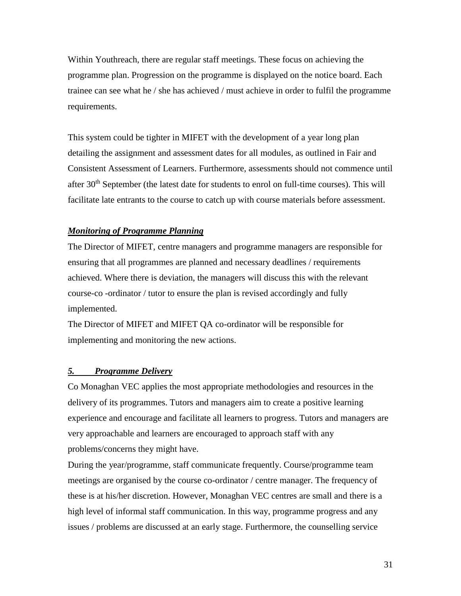Within Youthreach, there are regular staff meetings. These focus on achieving the programme plan. Progression on the programme is displayed on the notice board. Each trainee can see what he / she has achieved / must achieve in order to fulfil the programme requirements.

This system could be tighter in MIFET with the development of a year long plan detailing the assignment and assessment dates for all modules, as outlined in Fair and Consistent Assessment of Learners. Furthermore, assessments should not commence until after  $30<sup>th</sup>$  September (the latest date for students to enrol on full-time courses). This will facilitate late entrants to the course to catch up with course materials before assessment.

#### *Monitoring of Programme Planning*

The Director of MIFET, centre managers and programme managers are responsible for ensuring that all programmes are planned and necessary deadlines / requirements achieved. Where there is deviation, the managers will discuss this with the relevant course-co -ordinator / tutor to ensure the plan is revised accordingly and fully implemented.

The Director of MIFET and MIFET QA co-ordinator will be responsible for implementing and monitoring the new actions.

#### *5. Programme Delivery*

Co Monaghan VEC applies the most appropriate methodologies and resources in the delivery of its programmes. Tutors and managers aim to create a positive learning experience and encourage and facilitate all learners to progress. Tutors and managers are very approachable and learners are encouraged to approach staff with any problems/concerns they might have.

During the year/programme, staff communicate frequently. Course/programme team meetings are organised by the course co-ordinator / centre manager. The frequency of these is at his/her discretion. However, Monaghan VEC centres are small and there is a high level of informal staff communication. In this way, programme progress and any issues / problems are discussed at an early stage. Furthermore, the counselling service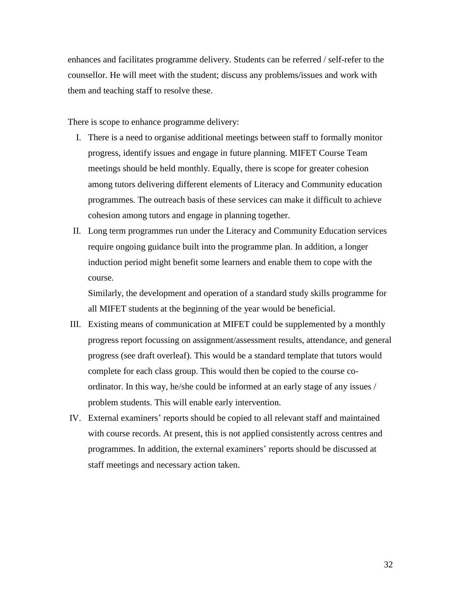enhances and facilitates programme delivery. Students can be referred / self-refer to the counsellor. He will meet with the student; discuss any problems/issues and work with them and teaching staff to resolve these.

There is scope to enhance programme delivery:

- I. There is a need to organise additional meetings between staff to formally monitor progress, identify issues and engage in future planning. MIFET Course Team meetings should be held monthly. Equally, there is scope for greater cohesion among tutors delivering different elements of Literacy and Community education programmes. The outreach basis of these services can make it difficult to achieve cohesion among tutors and engage in planning together.
- II. Long term programmes run under the Literacy and Community Education services require ongoing guidance built into the programme plan. In addition, a longer induction period might benefit some learners and enable them to cope with the course.

Similarly, the development and operation of a standard study skills programme for all MIFET students at the beginning of the year would be beneficial.

- III. Existing means of communication at MIFET could be supplemented by a monthly progress report focussing on assignment/assessment results, attendance, and general progress (see draft overleaf). This would be a standard template that tutors would complete for each class group. This would then be copied to the course coordinator. In this way, he/she could be informed at an early stage of any issues / problem students. This will enable early intervention.
- IV. External examiners' reports should be copied to all relevant staff and maintained with course records. At present, this is not applied consistently across centres and programmes. In addition, the external examiners' reports should be discussed at staff meetings and necessary action taken.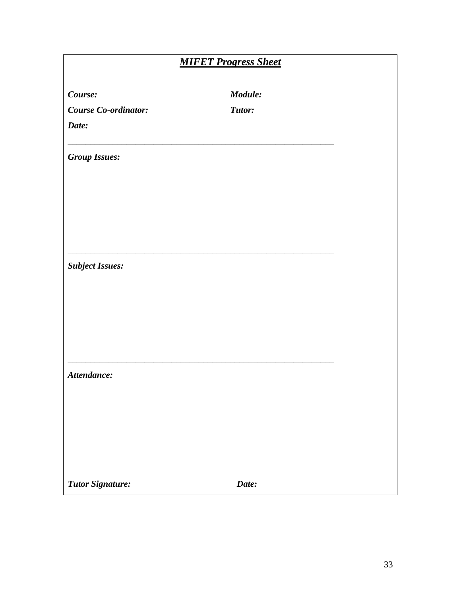|                             | <b>MIFET Progress Sheet</b> |
|-----------------------------|-----------------------------|
| Course:                     | Module:                     |
| <b>Course Co-ordinator:</b> | Tutor:                      |
| Date:                       |                             |
| <b>Group Issues:</b>        |                             |
|                             |                             |
|                             |                             |
| <b>Subject Issues:</b>      |                             |
|                             |                             |
|                             |                             |
|                             |                             |
| Attendance:                 |                             |
|                             |                             |
|                             |                             |
|                             |                             |
| <b>Tutor Signature:</b>     | Date:                       |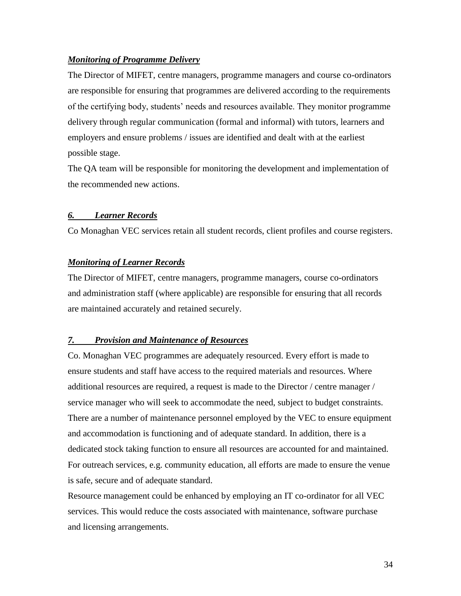#### *Monitoring of Programme Delivery*

The Director of MIFET, centre managers, programme managers and course co-ordinators are responsible for ensuring that programmes are delivered according to the requirements of the certifying body, students' needs and resources available. They monitor programme delivery through regular communication (formal and informal) with tutors, learners and employers and ensure problems / issues are identified and dealt with at the earliest possible stage.

The QA team will be responsible for monitoring the development and implementation of the recommended new actions.

#### *6. Learner Records*

Co Monaghan VEC services retain all student records, client profiles and course registers.

#### *Monitoring of Learner Records*

The Director of MIFET, centre managers, programme managers, course co-ordinators and administration staff (where applicable) are responsible for ensuring that all records are maintained accurately and retained securely.

#### *7. Provision and Maintenance of Resources*

Co. Monaghan VEC programmes are adequately resourced. Every effort is made to ensure students and staff have access to the required materials and resources. Where additional resources are required, a request is made to the Director / centre manager / service manager who will seek to accommodate the need, subject to budget constraints. There are a number of maintenance personnel employed by the VEC to ensure equipment and accommodation is functioning and of adequate standard. In addition, there is a dedicated stock taking function to ensure all resources are accounted for and maintained. For outreach services, e.g. community education, all efforts are made to ensure the venue is safe, secure and of adequate standard.

Resource management could be enhanced by employing an IT co-ordinator for all VEC services. This would reduce the costs associated with maintenance, software purchase and licensing arrangements.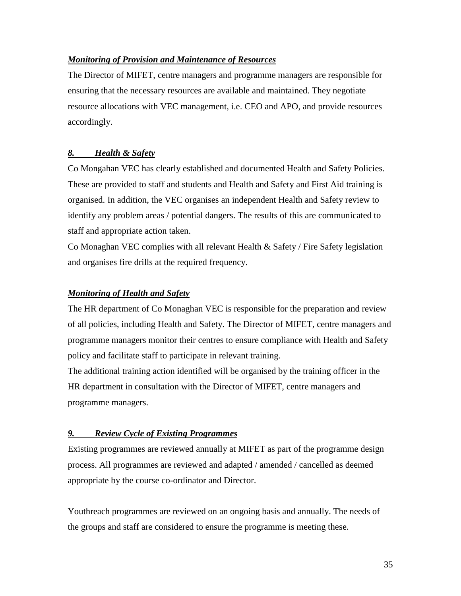#### *Monitoring of Provision and Maintenance of Resources*

The Director of MIFET, centre managers and programme managers are responsible for ensuring that the necessary resources are available and maintained. They negotiate resource allocations with VEC management, i.e. CEO and APO, and provide resources accordingly.

#### *8. Health & Safety*

Co Mongahan VEC has clearly established and documented Health and Safety Policies. These are provided to staff and students and Health and Safety and First Aid training is organised. In addition, the VEC organises an independent Health and Safety review to identify any problem areas / potential dangers. The results of this are communicated to staff and appropriate action taken.

Co Monaghan VEC complies with all relevant Health & Safety / Fire Safety legislation and organises fire drills at the required frequency.

#### *Monitoring of Health and Safety*

The HR department of Co Monaghan VEC is responsible for the preparation and review of all policies, including Health and Safety. The Director of MIFET, centre managers and programme managers monitor their centres to ensure compliance with Health and Safety policy and facilitate staff to participate in relevant training.

The additional training action identified will be organised by the training officer in the HR department in consultation with the Director of MIFET, centre managers and programme managers.

#### *9. Review Cycle of Existing Programmes*

Existing programmes are reviewed annually at MIFET as part of the programme design process. All programmes are reviewed and adapted / amended / cancelled as deemed appropriate by the course co-ordinator and Director.

Youthreach programmes are reviewed on an ongoing basis and annually. The needs of the groups and staff are considered to ensure the programme is meeting these.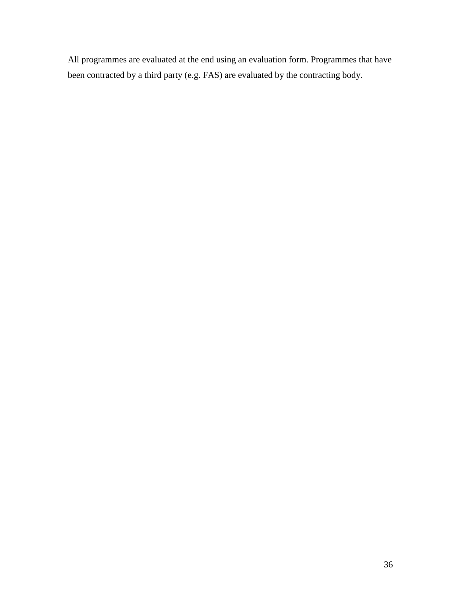All programmes are evaluated at the end using an evaluation form. Programmes that have been contracted by a third party (e.g. FAS) are evaluated by the contracting body.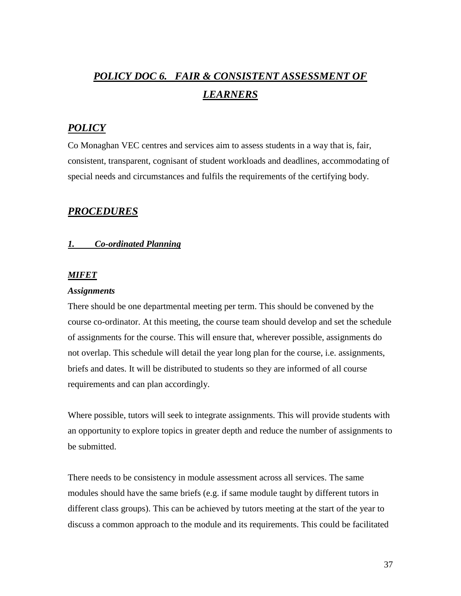## *POLICY DOC 6. FAIR & CONSISTENT ASSESSMENT OF LEARNERS*

### *POLICY*

Co Monaghan VEC centres and services aim to assess students in a way that is, fair, consistent, transparent, cognisant of student workloads and deadlines, accommodating of special needs and circumstances and fulfils the requirements of the certifying body.

#### *PROCEDURES*

## *1. Co-ordinated Planning*

#### *MIFET*

#### *Assignments*

There should be one departmental meeting per term. This should be convened by the course co-ordinator. At this meeting, the course team should develop and set the schedule of assignments for the course. This will ensure that, wherever possible, assignments do not overlap. This schedule will detail the year long plan for the course, i.e. assignments, briefs and dates. It will be distributed to students so they are informed of all course requirements and can plan accordingly.

Where possible, tutors will seek to integrate assignments. This will provide students with an opportunity to explore topics in greater depth and reduce the number of assignments to be submitted.

There needs to be consistency in module assessment across all services. The same modules should have the same briefs (e.g. if same module taught by different tutors in different class groups). This can be achieved by tutors meeting at the start of the year to discuss a common approach to the module and its requirements. This could be facilitated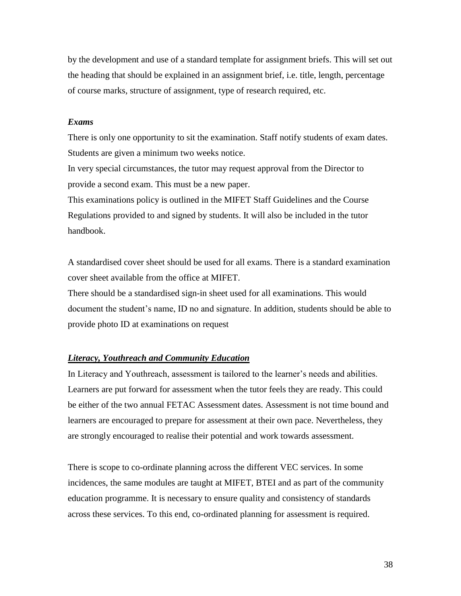by the development and use of a standard template for assignment briefs. This will set out the heading that should be explained in an assignment brief, i.e. title, length, percentage of course marks, structure of assignment, type of research required, etc.

#### *Exams*

There is only one opportunity to sit the examination. Staff notify students of exam dates. Students are given a minimum two weeks notice.

In very special circumstances, the tutor may request approval from the Director to provide a second exam. This must be a new paper.

This examinations policy is outlined in the MIFET Staff Guidelines and the Course Regulations provided to and signed by students. It will also be included in the tutor handbook.

A standardised cover sheet should be used for all exams. There is a standard examination cover sheet available from the office at MIFET.

There should be a standardised sign-in sheet used for all examinations. This would document the student's name, ID no and signature. In addition, students should be able to provide photo ID at examinations on request

#### *Literacy, Youthreach and Community Education*

In Literacy and Youthreach, assessment is tailored to the learner's needs and abilities. Learners are put forward for assessment when the tutor feels they are ready. This could be either of the two annual FETAC Assessment dates. Assessment is not time bound and learners are encouraged to prepare for assessment at their own pace. Nevertheless, they are strongly encouraged to realise their potential and work towards assessment.

There is scope to co-ordinate planning across the different VEC services. In some incidences, the same modules are taught at MIFET, BTEI and as part of the community education programme. It is necessary to ensure quality and consistency of standards across these services. To this end, co-ordinated planning for assessment is required.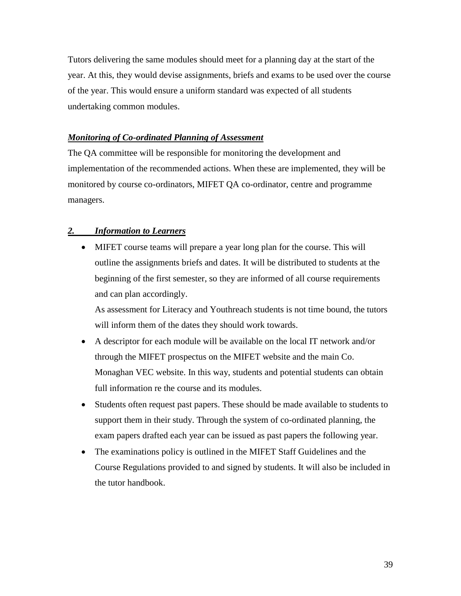Tutors delivering the same modules should meet for a planning day at the start of the year. At this, they would devise assignments, briefs and exams to be used over the course of the year. This would ensure a uniform standard was expected of all students undertaking common modules.

#### *Monitoring of Co-ordinated Planning of Assessment*

The QA committee will be responsible for monitoring the development and implementation of the recommended actions. When these are implemented, they will be monitored by course co-ordinators, MIFET QA co-ordinator, centre and programme managers.

#### *2. Information to Learners*

• MIFET course teams will prepare a year long plan for the course. This will outline the assignments briefs and dates. It will be distributed to students at the beginning of the first semester, so they are informed of all course requirements and can plan accordingly.

As assessment for Literacy and Youthreach students is not time bound, the tutors will inform them of the dates they should work towards.

- A descriptor for each module will be available on the local IT network and/or through the MIFET prospectus on the MIFET website and the main Co. Monaghan VEC website. In this way, students and potential students can obtain full information re the course and its modules.
- Students often request past papers. These should be made available to students to support them in their study. Through the system of co-ordinated planning, the exam papers drafted each year can be issued as past papers the following year.
- The examinations policy is outlined in the MIFET Staff Guidelines and the Course Regulations provided to and signed by students. It will also be included in the tutor handbook.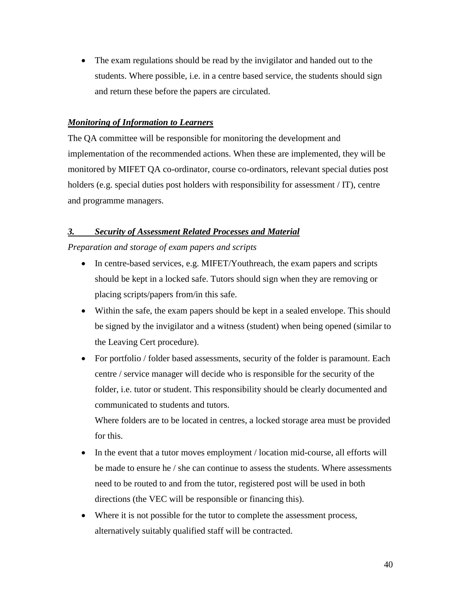• The exam regulations should be read by the invigilator and handed out to the students. Where possible, i.e. in a centre based service, the students should sign and return these before the papers are circulated.

#### *Monitoring of Information to Learners*

The QA committee will be responsible for monitoring the development and implementation of the recommended actions. When these are implemented, they will be monitored by MIFET QA co-ordinator, course co-ordinators, relevant special duties post holders (e.g. special duties post holders with responsibility for assessment / IT), centre and programme managers.

#### *3. Security of Assessment Related Processes and Material*

*Preparation and storage of exam papers and scripts* 

- In centre-based services, e.g. MIFET/Youthreach, the exam papers and scripts should be kept in a locked safe. Tutors should sign when they are removing or placing scripts/papers from/in this safe.
- Within the safe, the exam papers should be kept in a sealed envelope. This should be signed by the invigilator and a witness (student) when being opened (similar to the Leaving Cert procedure).
- For portfolio / folder based assessments, security of the folder is paramount. Each centre / service manager will decide who is responsible for the security of the folder, i.e. tutor or student. This responsibility should be clearly documented and communicated to students and tutors.

Where folders are to be located in centres, a locked storage area must be provided for this.

- In the event that a tutor moves employment / location mid-course, all efforts will be made to ensure he / she can continue to assess the students. Where assessments need to be routed to and from the tutor, registered post will be used in both directions (the VEC will be responsible or financing this).
- Where it is not possible for the tutor to complete the assessment process, alternatively suitably qualified staff will be contracted.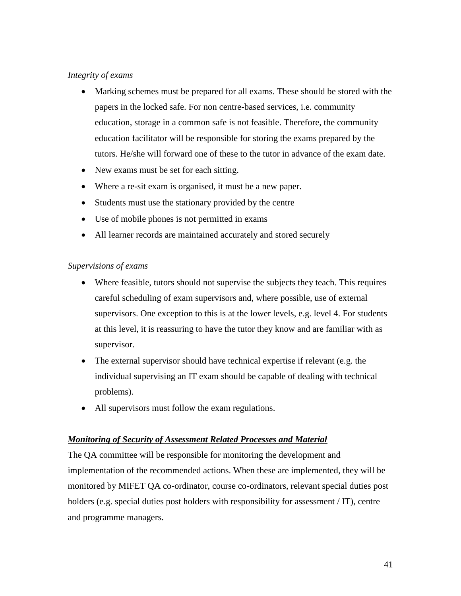#### *Integrity of exams*

- Marking schemes must be prepared for all exams. These should be stored with the papers in the locked safe. For non centre-based services, i.e. community education, storage in a common safe is not feasible. Therefore, the community education facilitator will be responsible for storing the exams prepared by the tutors. He/she will forward one of these to the tutor in advance of the exam date.
- New exams must be set for each sitting.
- Where a re-sit exam is organised, it must be a new paper.
- Students must use the stationary provided by the centre
- Use of mobile phones is not permitted in exams
- All learner records are maintained accurately and stored securely

#### *Supervisions of exams*

- Where feasible, tutors should not supervise the subjects they teach. This requires careful scheduling of exam supervisors and, where possible, use of external supervisors. One exception to this is at the lower levels, e.g. level 4. For students at this level, it is reassuring to have the tutor they know and are familiar with as supervisor.
- The external supervisor should have technical expertise if relevant (e.g. the individual supervising an IT exam should be capable of dealing with technical problems).
- All supervisors must follow the exam regulations.

#### *Monitoring of Security of Assessment Related Processes and Material*

The QA committee will be responsible for monitoring the development and implementation of the recommended actions. When these are implemented, they will be monitored by MIFET QA co-ordinator, course co-ordinators, relevant special duties post holders (e.g. special duties post holders with responsibility for assessment / IT), centre and programme managers.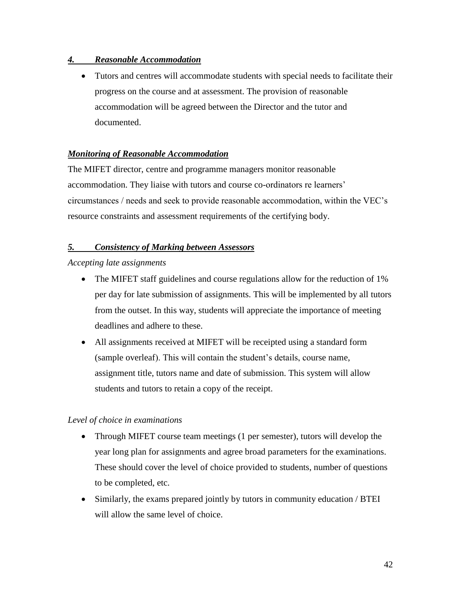#### *4. Reasonable Accommodation*

• Tutors and centres will accommodate students with special needs to facilitate their progress on the course and at assessment. The provision of reasonable accommodation will be agreed between the Director and the tutor and documented.

#### *Monitoring of Reasonable Accommodation*

The MIFET director, centre and programme managers monitor reasonable accommodation. They liaise with tutors and course co-ordinators re learners' circumstances / needs and seek to provide reasonable accommodation, within the VEC's resource constraints and assessment requirements of the certifying body.

#### *5. Consistency of Marking between Assessors*

#### *Accepting late assignments*

- The MIFET staff guidelines and course regulations allow for the reduction of 1% per day for late submission of assignments. This will be implemented by all tutors from the outset. In this way, students will appreciate the importance of meeting deadlines and adhere to these.
- All assignments received at MIFET will be receipted using a standard form (sample overleaf). This will contain the student's details, course name, assignment title, tutors name and date of submission. This system will allow students and tutors to retain a copy of the receipt.

#### *Level of choice in examinations*

- Through MIFET course team meetings (1 per semester), tutors will develop the year long plan for assignments and agree broad parameters for the examinations. These should cover the level of choice provided to students, number of questions to be completed, etc.
- Similarly, the exams prepared jointly by tutors in community education / BTEI will allow the same level of choice.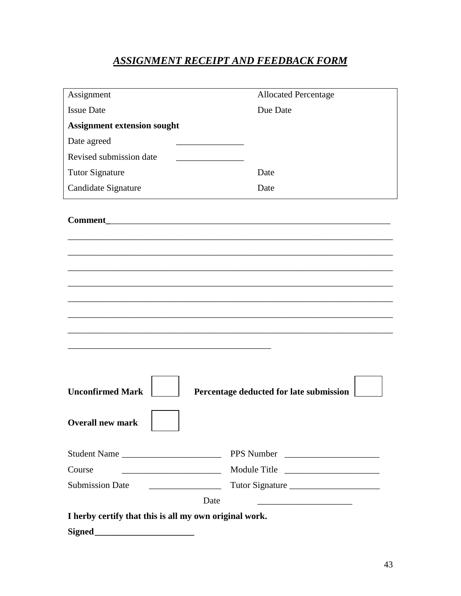## *ASSIGNMENT RECEIPT AND FEEDBACK FORM*

| Assignment                                                                                                                                                                                                                                                                                                                                                                                                                                                                                                                                                                                                                          | <b>Allocated Percentage</b>                        |
|-------------------------------------------------------------------------------------------------------------------------------------------------------------------------------------------------------------------------------------------------------------------------------------------------------------------------------------------------------------------------------------------------------------------------------------------------------------------------------------------------------------------------------------------------------------------------------------------------------------------------------------|----------------------------------------------------|
| <b>Issue Date</b>                                                                                                                                                                                                                                                                                                                                                                                                                                                                                                                                                                                                                   | Due Date                                           |
| <b>Assignment extension sought</b>                                                                                                                                                                                                                                                                                                                                                                                                                                                                                                                                                                                                  |                                                    |
| Date agreed                                                                                                                                                                                                                                                                                                                                                                                                                                                                                                                                                                                                                         |                                                    |
| Revised submission date                                                                                                                                                                                                                                                                                                                                                                                                                                                                                                                                                                                                             |                                                    |
| <b>Tutor Signature</b>                                                                                                                                                                                                                                                                                                                                                                                                                                                                                                                                                                                                              | Date                                               |
| Candidate Signature                                                                                                                                                                                                                                                                                                                                                                                                                                                                                                                                                                                                                 | Date                                               |
| <b>Comment</b> Commercial Commercial Commercial Commercial Commercial Commercial Commercial Commercial Commercial Commercial Commercial Commercial Commercial Commercial Commercial Commercial Commercial Commercial Commercial Com                                                                                                                                                                                                                                                                                                                                                                                                 |                                                    |
| <b>Unconfirmed Mark</b><br><b>Overall new mark</b>                                                                                                                                                                                                                                                                                                                                                                                                                                                                                                                                                                                  | Percentage deducted for late submission            |
| Student Name                                                                                                                                                                                                                                                                                                                                                                                                                                                                                                                                                                                                                        | PPS Number                                         |
| Course<br><u> 1990 - Johann Barbara, martxa al</u>                                                                                                                                                                                                                                                                                                                                                                                                                                                                                                                                                                                  | Module Title                                       |
| <b>Submission Date</b><br>$\label{eq:2.1} \frac{\partial}{\partial x^2} = \frac{\partial}{\partial x^2} + \frac{\partial}{\partial y^2} + \frac{\partial}{\partial z^2} + \frac{\partial}{\partial z^2} + \frac{\partial}{\partial z^2} + \frac{\partial}{\partial z^2} + \frac{\partial}{\partial z^2} + \frac{\partial}{\partial z^2} + \frac{\partial}{\partial z^2} + \frac{\partial}{\partial z^2} + \frac{\partial}{\partial z^2} + \frac{\partial}{\partial z^2} + \frac{\partial}{\partial z^2} + \frac{\partial}{\partial z^2} + \frac{\partial}{\partial z^2} + \frac{\partial}{\partial z^2} + \frac{\partial}{\partial$ | Tutor Signature                                    |
| Date                                                                                                                                                                                                                                                                                                                                                                                                                                                                                                                                                                                                                                | <u> 2002 - Johann John Stone, mars et al. 1980</u> |
| I herby certify that this is all my own original work.                                                                                                                                                                                                                                                                                                                                                                                                                                                                                                                                                                              |                                                    |
|                                                                                                                                                                                                                                                                                                                                                                                                                                                                                                                                                                                                                                     |                                                    |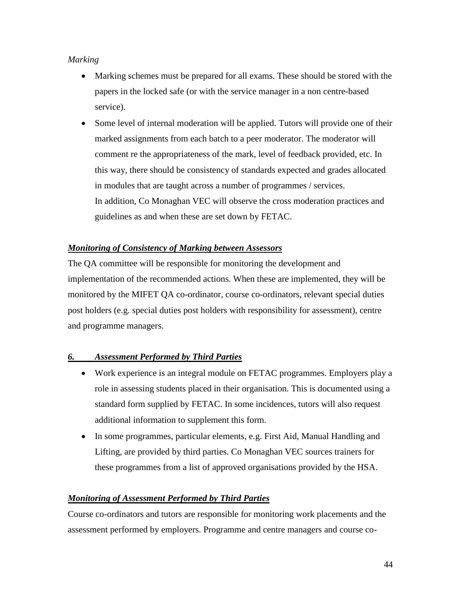## *Marking*

- Marking schemes must be prepared for all exams. These should be stored with the papers in the locked safe (or with the service manager in a non centre-based service).
- Some level of internal moderation will be applied. Tutors will provide one of their marked assignments from each batch to a peer moderator. The moderator will comment re the appropriateness of the mark, level of feedback provided, etc. In this way, there should be consistency of standards expected and grades allocated in modules that are taught across a number of programmes / services. In addition, Co Monaghan VEC will observe the cross moderation practices and guidelines as and when these are set down by FETAC.

#### *Monitoring of Consistency of Marking between Assessors*

The QA committee will be responsible for monitoring the development and implementation of the recommended actions. When these are implemented, they will be monitored by the MIFET QA co-ordinator, course co-ordinators, relevant special duties post holders (e.g. special duties post holders with responsibility for assessment), centre and programme managers.

## *6. Assessment Performed by Third Parties*

- Work experience is an integral module on FETAC programmes. Employers play a role in assessing students placed in their organisation. This is documented using a standard form supplied by FETAC. In some incidences, tutors will also request additional information to supplement this form.
- In some programmes, particular elements, e.g. First Aid, Manual Handling and Lifting, are provided by third parties. Co Monaghan VEC sources trainers for these programmes from a list of approved organisations provided by the HSA.

## *Monitoring of Assessment Performed by Third Parties*

Course co-ordinators and tutors are responsible for monitoring work placements and the assessment performed by employers. Programme and centre managers and course co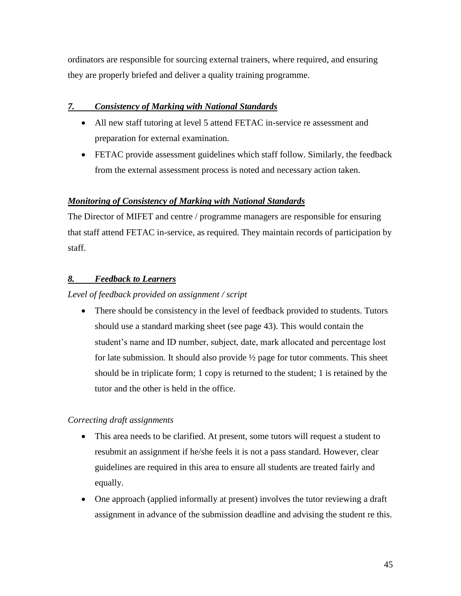ordinators are responsible for sourcing external trainers, where required, and ensuring they are properly briefed and deliver a quality training programme.

## *7. Consistency of Marking with National Standards*

- All new staff tutoring at level 5 attend FETAC in-service re assessment and preparation for external examination.
- FETAC provide assessment guidelines which staff follow. Similarly, the feedback from the external assessment process is noted and necessary action taken.

#### *Monitoring of Consistency of Marking with National Standards*

The Director of MIFET and centre / programme managers are responsible for ensuring that staff attend FETAC in-service, as required. They maintain records of participation by staff.

## *8. Feedback to Learners*

#### *Level of feedback provided on assignment / script*

• There should be consistency in the level of feedback provided to students. Tutors should use a standard marking sheet (see page 43). This would contain the student's name and ID number, subject, date, mark allocated and percentage lost for late submission. It should also provide  $\frac{1}{2}$  page for tutor comments. This sheet should be in triplicate form; 1 copy is returned to the student; 1 is retained by the tutor and the other is held in the office.

## *Correcting draft assignments*

- This area needs to be clarified. At present, some tutors will request a student to resubmit an assignment if he/she feels it is not a pass standard. However, clear guidelines are required in this area to ensure all students are treated fairly and equally.
- One approach (applied informally at present) involves the tutor reviewing a draft assignment in advance of the submission deadline and advising the student re this.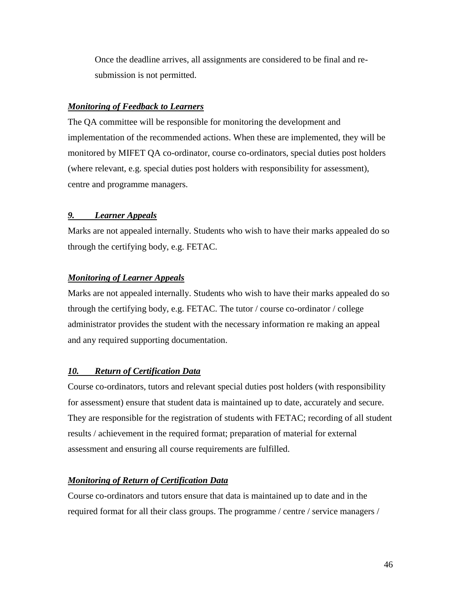Once the deadline arrives, all assignments are considered to be final and resubmission is not permitted.

#### *Monitoring of Feedback to Learners*

The QA committee will be responsible for monitoring the development and implementation of the recommended actions. When these are implemented, they will be monitored by MIFET QA co-ordinator, course co-ordinators, special duties post holders (where relevant, e.g. special duties post holders with responsibility for assessment), centre and programme managers.

#### *9. Learner Appeals*

Marks are not appealed internally. Students who wish to have their marks appealed do so through the certifying body, e.g. FETAC.

#### *Monitoring of Learner Appeals*

Marks are not appealed internally. Students who wish to have their marks appealed do so through the certifying body, e.g. FETAC. The tutor / course co-ordinator / college administrator provides the student with the necessary information re making an appeal and any required supporting documentation.

#### *10. Return of Certification Data*

Course co-ordinators, tutors and relevant special duties post holders (with responsibility for assessment) ensure that student data is maintained up to date, accurately and secure. They are responsible for the registration of students with FETAC; recording of all student results / achievement in the required format; preparation of material for external assessment and ensuring all course requirements are fulfilled.

#### *Monitoring of Return of Certification Data*

Course co-ordinators and tutors ensure that data is maintained up to date and in the required format for all their class groups. The programme / centre / service managers /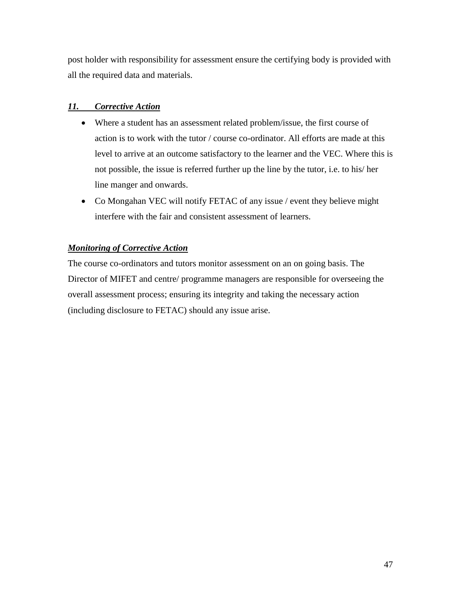post holder with responsibility for assessment ensure the certifying body is provided with all the required data and materials.

## *11. Corrective Action*

- Where a student has an assessment related problem/issue, the first course of action is to work with the tutor / course co-ordinator. All efforts are made at this level to arrive at an outcome satisfactory to the learner and the VEC. Where this is not possible, the issue is referred further up the line by the tutor, i.e. to his/ her line manger and onwards.
- Co Mongahan VEC will notify FETAC of any issue / event they believe might interfere with the fair and consistent assessment of learners.

#### *Monitoring of Corrective Action*

The course co-ordinators and tutors monitor assessment on an on going basis. The Director of MIFET and centre/ programme managers are responsible for overseeing the overall assessment process; ensuring its integrity and taking the necessary action (including disclosure to FETAC) should any issue arise.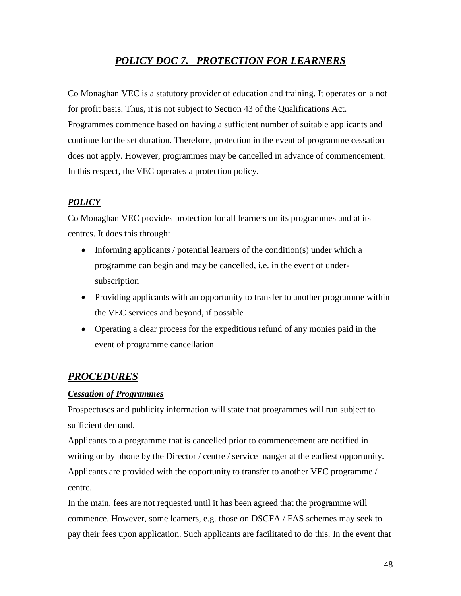## *POLICY DOC 7. PROTECTION FOR LEARNERS*

Co Monaghan VEC is a statutory provider of education and training. It operates on a not for profit basis. Thus, it is not subject to Section 43 of the Qualifications Act. Programmes commence based on having a sufficient number of suitable applicants and continue for the set duration. Therefore, protection in the event of programme cessation does not apply. However, programmes may be cancelled in advance of commencement. In this respect, the VEC operates a protection policy.

## *POLICY*

Co Monaghan VEC provides protection for all learners on its programmes and at its centres. It does this through:

- Informing applicants / potential learners of the condition(s) under which a programme can begin and may be cancelled, i.e. in the event of undersubscription
- Providing applicants with an opportunity to transfer to another programme within the VEC services and beyond, if possible
- Operating a clear process for the expeditious refund of any monies paid in the event of programme cancellation

## *PROCEDURES*

#### *Cessation of Programmes*

Prospectuses and publicity information will state that programmes will run subject to sufficient demand.

Applicants to a programme that is cancelled prior to commencement are notified in writing or by phone by the Director / centre / service manger at the earliest opportunity. Applicants are provided with the opportunity to transfer to another VEC programme / centre.

In the main, fees are not requested until it has been agreed that the programme will commence. However, some learners, e.g. those on DSCFA / FAS schemes may seek to pay their fees upon application. Such applicants are facilitated to do this. In the event that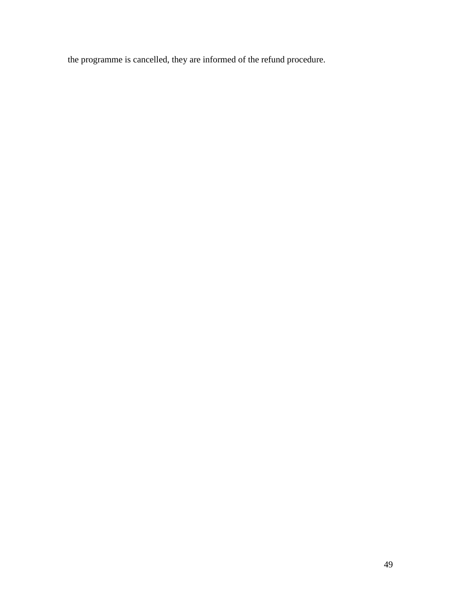the programme is cancelled, they are informed of the refund procedure.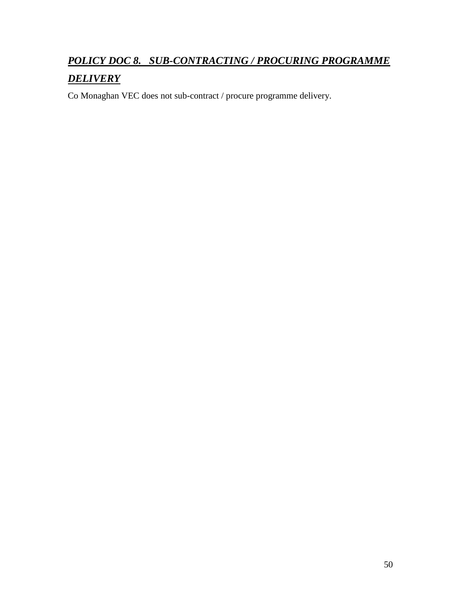# *POLICY DOC 8. SUB-CONTRACTING / PROCURING PROGRAMME*

## *DELIVERY*

Co Monaghan VEC does not sub-contract / procure programme delivery.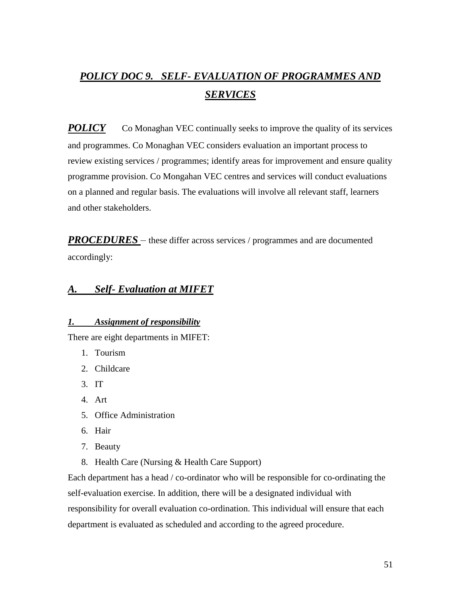## *POLICY DOC 9. SELF- EVALUATION OF PROGRAMMES AND SERVICES*

*POLICY* Co Monaghan VEC continually seeks to improve the quality of its services and programmes. Co Monaghan VEC considers evaluation an important process to review existing services / programmes; identify areas for improvement and ensure quality programme provision. Co Mongahan VEC centres and services will conduct evaluations on a planned and regular basis. The evaluations will involve all relevant staff, learners and other stakeholders.

*PROCEDURES* – these differ across services / programmes and are documented accordingly:

## *A. Self- Evaluation at MIFET*

#### *1. Assignment of responsibility*

There are eight departments in MIFET:

- 1. Tourism
- 2. Childcare
- 3. IT
- 4. Art
- 5. Office Administration
- 6. Hair
- 7. Beauty
- 8. Health Care (Nursing & Health Care Support)

Each department has a head / co-ordinator who will be responsible for co-ordinating the self-evaluation exercise. In addition, there will be a designated individual with responsibility for overall evaluation co-ordination. This individual will ensure that each department is evaluated as scheduled and according to the agreed procedure.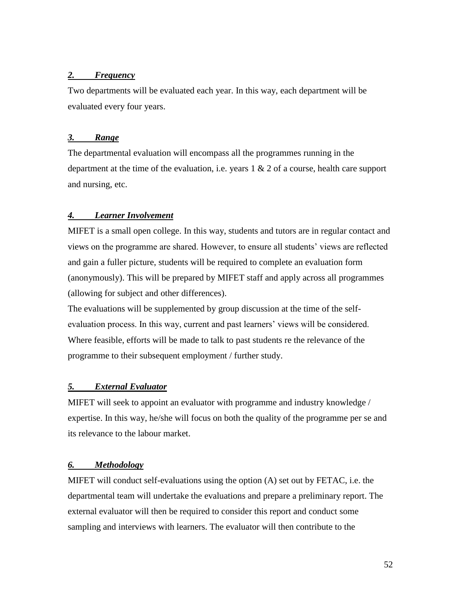#### *2. Frequency*

Two departments will be evaluated each year. In this way, each department will be evaluated every four years.

#### *3. Range*

The departmental evaluation will encompass all the programmes running in the department at the time of the evaluation, i.e. years  $1 \& 2$  of a course, health care support and nursing, etc.

#### *4. Learner Involvement*

MIFET is a small open college. In this way, students and tutors are in regular contact and views on the programme are shared. However, to ensure all students' views are reflected and gain a fuller picture, students will be required to complete an evaluation form (anonymously). This will be prepared by MIFET staff and apply across all programmes (allowing for subject and other differences).

The evaluations will be supplemented by group discussion at the time of the selfevaluation process. In this way, current and past learners' views will be considered. Where feasible, efforts will be made to talk to past students re the relevance of the programme to their subsequent employment / further study.

#### *5. External Evaluator*

MIFET will seek to appoint an evaluator with programme and industry knowledge / expertise. In this way, he/she will focus on both the quality of the programme per se and its relevance to the labour market.

#### *6. Methodology*

MIFET will conduct self-evaluations using the option (A) set out by FETAC, i.e. the departmental team will undertake the evaluations and prepare a preliminary report. The external evaluator will then be required to consider this report and conduct some sampling and interviews with learners. The evaluator will then contribute to the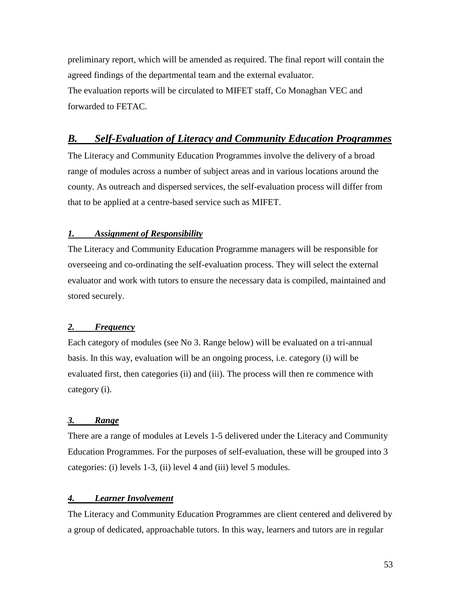preliminary report, which will be amended as required. The final report will contain the agreed findings of the departmental team and the external evaluator. The evaluation reports will be circulated to MIFET staff, Co Monaghan VEC and forwarded to FETAC.

## *B. Self-Evaluation of Literacy and Community Education Programmes*

The Literacy and Community Education Programmes involve the delivery of a broad range of modules across a number of subject areas and in various locations around the county. As outreach and dispersed services, the self-evaluation process will differ from that to be applied at a centre-based service such as MIFET.

#### *1. Assignment of Responsibility*

The Literacy and Community Education Programme managers will be responsible for overseeing and co-ordinating the self-evaluation process. They will select the external evaluator and work with tutors to ensure the necessary data is compiled, maintained and stored securely.

#### *2. Frequency*

Each category of modules (see No 3. Range below) will be evaluated on a tri-annual basis. In this way, evaluation will be an ongoing process, i.e. category (i) will be evaluated first, then categories (ii) and (iii). The process will then re commence with category (i).

#### *3. Range*

There are a range of modules at Levels 1-5 delivered under the Literacy and Community Education Programmes. For the purposes of self-evaluation, these will be grouped into 3 categories: (i) levels 1-3, (ii) level 4 and (iii) level 5 modules.

#### *4. Learner Involvement*

The Literacy and Community Education Programmes are client centered and delivered by a group of dedicated, approachable tutors. In this way, learners and tutors are in regular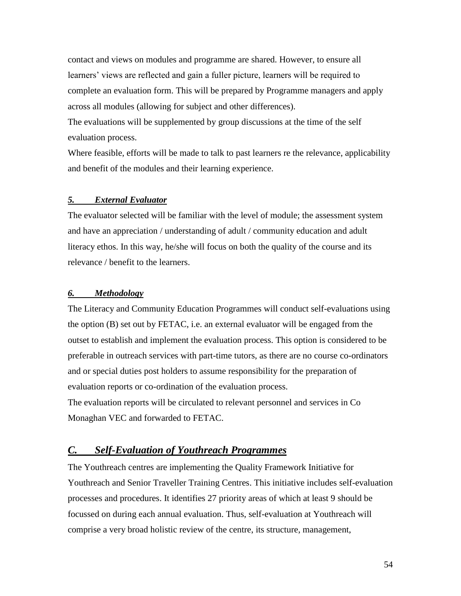contact and views on modules and programme are shared. However, to ensure all learners' views are reflected and gain a fuller picture, learners will be required to complete an evaluation form. This will be prepared by Programme managers and apply across all modules (allowing for subject and other differences).

The evaluations will be supplemented by group discussions at the time of the self evaluation process.

Where feasible, efforts will be made to talk to past learners re the relevance, applicability and benefit of the modules and their learning experience.

#### *5. External Evaluator*

The evaluator selected will be familiar with the level of module; the assessment system and have an appreciation / understanding of adult / community education and adult literacy ethos. In this way, he/she will focus on both the quality of the course and its relevance / benefit to the learners.

#### *6. Methodology*

The Literacy and Community Education Programmes will conduct self-evaluations using the option (B) set out by FETAC, i.e. an external evaluator will be engaged from the outset to establish and implement the evaluation process. This option is considered to be preferable in outreach services with part-time tutors, as there are no course co-ordinators and or special duties post holders to assume responsibility for the preparation of evaluation reports or co-ordination of the evaluation process.

The evaluation reports will be circulated to relevant personnel and services in Co Monaghan VEC and forwarded to FETAC.

## *C. Self-Evaluation of Youthreach Programmes*

The Youthreach centres are implementing the Quality Framework Initiative for Youthreach and Senior Traveller Training Centres. This initiative includes self-evaluation processes and procedures. It identifies 27 priority areas of which at least 9 should be focussed on during each annual evaluation. Thus, self-evaluation at Youthreach will comprise a very broad holistic review of the centre, its structure, management,